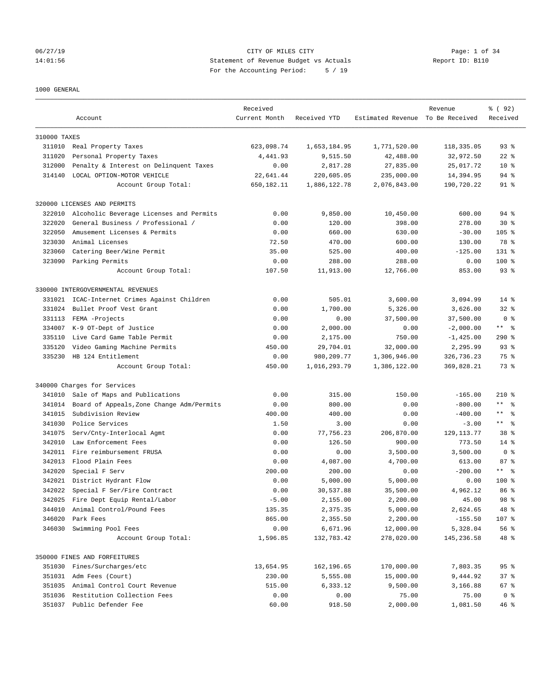## 06/27/19 CITY OF MILES CITY Page: 1 of 34 14:01:56 Statement of Revenue Budget vs Actuals Report ID: B110 For the Accounting Period: 5 / 19

### 1000 GENERAL

| Estimated Revenue To Be Received<br>Received<br>Current Month<br>Received YTD<br>Account<br>310000 TAXES<br>623,098.74<br>93%<br>311010 Real Property Taxes<br>1,653,184.95<br>1,771,520.00<br>118,335.05<br>Personal Property Taxes<br>4,441.93<br>9,515.50<br>42,488.00<br>32,972.50<br>$22$ %<br>311020<br>312000<br>Penalty & Interest on Delinquent Taxes<br>0.00<br>2,817.28<br>27,835.00<br>25,017.72<br>$10*$<br>314140<br>LOCAL OPTION-MOTOR VEHICLE<br>22,641.44<br>220,605.05<br>235,000.00<br>14,394.95<br>94 %<br>650,182.11<br>1,886,122.78<br>2,076,843.00<br>190,720.22<br>91 %<br>Account Group Total:<br>320000 LICENSES AND PERMITS<br>Alcoholic Beverage Licenses and Permits<br>0.00<br>9,850.00<br>10,450.00<br>600.00<br>94 %<br>322010<br>322020<br>General Business / Professional /<br>0.00<br>120.00<br>398.00<br>278.00<br>$30*$<br>322050<br>Amusement Licenses & Permits<br>0.00<br>660.00<br>630.00<br>$-30.00$<br>$105$ %<br>323030<br>Animal Licenses<br>72.50<br>470.00<br>600.00<br>78 %<br>130.00<br>323060<br>Catering Beer/Wine Permit<br>35.00<br>525.00<br>400.00<br>$-125.00$<br>$131$ %<br>323090<br>Parking Permits<br>0.00<br>288.00<br>288.00<br>$100$ %<br>0.00<br>107.50<br>11,913.00<br>12,766.00<br>853.00<br>$93$ $%$<br>Account Group Total:<br>330000 INTERGOVERNMENTAL REVENUES<br>ICAC-Internet Crimes Against Children<br>0.00<br>505.01<br>3,600.00<br>3,094.99<br>$14*$<br>331021<br>331024<br>Bullet Proof Vest Grant<br>0.00<br>1,700.00<br>5,326.00<br>3,626.00<br>$32*$<br>331113<br>FEMA -Projects<br>0.00<br>0.00<br>37,500.00<br>37,500.00<br>0 <sup>8</sup><br>$***$ $ -$<br>334007<br>K-9 OT-Dept of Justice<br>0.00<br>2,000.00<br>$-2,000.00$<br>0.00<br>335110<br>Live Card Game Table Permit<br>0.00<br>750.00<br>290%<br>2,175.00<br>$-1, 425.00$<br>335120<br>Video Gaming Machine Permits<br>450.00<br>29,704.01<br>32,000.00<br>2,295.99<br>$93$ $%$<br>335230<br>HB 124 Entitlement<br>0.00<br>980, 209.77<br>1,306,946.00<br>326,736.23<br>75 %<br>450.00<br>73 %<br>Account Group Total:<br>1,016,293.79<br>1,386,122.00<br>369,828.21<br>340000 Charges for Services<br>Sale of Maps and Publications<br>0.00<br>315.00<br>150.00<br>$-165.00$<br>$210*$<br>341010<br>$\star$ $\star$<br>Board of Appeals, Zone Change Adm/Permits<br>0.00<br>800.00<br>0.00<br>$-800.00$<br>$\approx$<br>341014<br>341015<br>Subdivision Review<br>400.00<br>400.00<br>0.00<br>$-400.00$<br>$\star\star$<br>- 응<br>$***$ $ -$<br>341030<br>1.50<br>3.00<br>0.00<br>Police Services<br>$-3.00$<br>Serv/Cnty-Interlocal Agmt<br>0.00<br>77,756.23<br>206,870.00<br>129, 113. 77<br>38 <sup>8</sup><br>341075<br>342010<br>Law Enforcement Fees<br>0.00<br>126.50<br>900.00<br>773.50<br>$14*$<br>342011 Fire reimbursement FRUSA<br>0.00<br>0.00<br>3,500.00<br>3,500.00<br>0 <sup>8</sup><br>342013 Flood Plain Fees<br>0.00<br>4,087.00<br>4,700.00<br>87%<br>613.00<br>$***$ $ -$<br>342020<br>Special F Serv<br>200.00<br>200.00<br>0.00<br>$-200.00$<br>342021<br>District Hydrant Flow<br>0.00<br>5,000.00<br>5,000.00<br>0.00<br>$100$ %<br>4,962.12<br>342022<br>Special F Ser/Fire Contract<br>0.00<br>30,537.88<br>35,500.00<br>86 <sup>8</sup><br>342025 Fire Dept Equip Rental/Labor<br>2,200.00<br>45.00<br>98 %<br>$-5.00$<br>2,155.00<br>344010<br>Animal Control/Pound Fees<br>135.35<br>2,375.35<br>5,000.00<br>2,624.65<br>48 %<br>346020<br>Park Fees<br>865.00<br>$-155.50$<br>107 %<br>2,355.50<br>2,200.00<br>Swimming Pool Fees<br>56%<br>346030<br>0.00<br>6,671.96<br>12,000.00<br>5,328.04<br>48 %<br>Account Group Total:<br>1,596.85<br>132,783.42<br>278,020.00<br>145,236.58<br>350000 FINES AND FORFEITURES<br>Fines/Surcharges/etc<br>$95$ $%$<br>351030<br>13,654.95<br>162,196.65<br>170,000.00<br>7,803.35<br>37%<br>351031 Adm Fees (Court)<br>230.00<br>5,555.08<br>15,000.00<br>9,444.92<br>Animal Control Court Revenue<br>515.00<br>67%<br>351035<br>6,333.12<br>9,500.00<br>3,166.88<br>351036<br>Restitution Collection Fees<br>0.00<br>75.00<br>0 <sup>8</sup><br>0.00<br>75.00<br>351037 Public Defender Fee<br>60.00<br>918.50<br>2,000.00<br>1,081.50<br>46% |  |          |  |         |        |
|-------------------------------------------------------------------------------------------------------------------------------------------------------------------------------------------------------------------------------------------------------------------------------------------------------------------------------------------------------------------------------------------------------------------------------------------------------------------------------------------------------------------------------------------------------------------------------------------------------------------------------------------------------------------------------------------------------------------------------------------------------------------------------------------------------------------------------------------------------------------------------------------------------------------------------------------------------------------------------------------------------------------------------------------------------------------------------------------------------------------------------------------------------------------------------------------------------------------------------------------------------------------------------------------------------------------------------------------------------------------------------------------------------------------------------------------------------------------------------------------------------------------------------------------------------------------------------------------------------------------------------------------------------------------------------------------------------------------------------------------------------------------------------------------------------------------------------------------------------------------------------------------------------------------------------------------------------------------------------------------------------------------------------------------------------------------------------------------------------------------------------------------------------------------------------------------------------------------------------------------------------------------------------------------------------------------------------------------------------------------------------------------------------------------------------------------------------------------------------------------------------------------------------------------------------------------------------------------------------------------------------------------------------------------------------------------------------------------------------------------------------------------------------------------------------------------------------------------------------------------------------------------------------------------------------------------------------------------------------------------------------------------------------------------------------------------------------------------------------------------------------------------------------------------------------------------------------------------------------------------------------------------------------------------------------------------------------------------------------------------------------------------------------------------------------------------------------------------------------------------------------------------------------------------------------------------------------------------------------------------------------------------------------------------------------------------------------------------------------------------------------------------------------------------------------------------------------------------------------------------------------------------------------------------------------------------------------------------------------------------------------------------------------------------------------------------------------------------------------------------------------------------------------------------------|--|----------|--|---------|--------|
|                                                                                                                                                                                                                                                                                                                                                                                                                                                                                                                                                                                                                                                                                                                                                                                                                                                                                                                                                                                                                                                                                                                                                                                                                                                                                                                                                                                                                                                                                                                                                                                                                                                                                                                                                                                                                                                                                                                                                                                                                                                                                                                                                                                                                                                                                                                                                                                                                                                                                                                                                                                                                                                                                                                                                                                                                                                                                                                                                                                                                                                                                                                                                                                                                                                                                                                                                                                                                                                                                                                                                                                                                                                                                                                                                                                                                                                                                                                                                                                                                                                                                                                                                                         |  | Received |  | Revenue | % (92) |
|                                                                                                                                                                                                                                                                                                                                                                                                                                                                                                                                                                                                                                                                                                                                                                                                                                                                                                                                                                                                                                                                                                                                                                                                                                                                                                                                                                                                                                                                                                                                                                                                                                                                                                                                                                                                                                                                                                                                                                                                                                                                                                                                                                                                                                                                                                                                                                                                                                                                                                                                                                                                                                                                                                                                                                                                                                                                                                                                                                                                                                                                                                                                                                                                                                                                                                                                                                                                                                                                                                                                                                                                                                                                                                                                                                                                                                                                                                                                                                                                                                                                                                                                                                         |  |          |  |         |        |
|                                                                                                                                                                                                                                                                                                                                                                                                                                                                                                                                                                                                                                                                                                                                                                                                                                                                                                                                                                                                                                                                                                                                                                                                                                                                                                                                                                                                                                                                                                                                                                                                                                                                                                                                                                                                                                                                                                                                                                                                                                                                                                                                                                                                                                                                                                                                                                                                                                                                                                                                                                                                                                                                                                                                                                                                                                                                                                                                                                                                                                                                                                                                                                                                                                                                                                                                                                                                                                                                                                                                                                                                                                                                                                                                                                                                                                                                                                                                                                                                                                                                                                                                                                         |  |          |  |         |        |
|                                                                                                                                                                                                                                                                                                                                                                                                                                                                                                                                                                                                                                                                                                                                                                                                                                                                                                                                                                                                                                                                                                                                                                                                                                                                                                                                                                                                                                                                                                                                                                                                                                                                                                                                                                                                                                                                                                                                                                                                                                                                                                                                                                                                                                                                                                                                                                                                                                                                                                                                                                                                                                                                                                                                                                                                                                                                                                                                                                                                                                                                                                                                                                                                                                                                                                                                                                                                                                                                                                                                                                                                                                                                                                                                                                                                                                                                                                                                                                                                                                                                                                                                                                         |  |          |  |         |        |
|                                                                                                                                                                                                                                                                                                                                                                                                                                                                                                                                                                                                                                                                                                                                                                                                                                                                                                                                                                                                                                                                                                                                                                                                                                                                                                                                                                                                                                                                                                                                                                                                                                                                                                                                                                                                                                                                                                                                                                                                                                                                                                                                                                                                                                                                                                                                                                                                                                                                                                                                                                                                                                                                                                                                                                                                                                                                                                                                                                                                                                                                                                                                                                                                                                                                                                                                                                                                                                                                                                                                                                                                                                                                                                                                                                                                                                                                                                                                                                                                                                                                                                                                                                         |  |          |  |         |        |
|                                                                                                                                                                                                                                                                                                                                                                                                                                                                                                                                                                                                                                                                                                                                                                                                                                                                                                                                                                                                                                                                                                                                                                                                                                                                                                                                                                                                                                                                                                                                                                                                                                                                                                                                                                                                                                                                                                                                                                                                                                                                                                                                                                                                                                                                                                                                                                                                                                                                                                                                                                                                                                                                                                                                                                                                                                                                                                                                                                                                                                                                                                                                                                                                                                                                                                                                                                                                                                                                                                                                                                                                                                                                                                                                                                                                                                                                                                                                                                                                                                                                                                                                                                         |  |          |  |         |        |
|                                                                                                                                                                                                                                                                                                                                                                                                                                                                                                                                                                                                                                                                                                                                                                                                                                                                                                                                                                                                                                                                                                                                                                                                                                                                                                                                                                                                                                                                                                                                                                                                                                                                                                                                                                                                                                                                                                                                                                                                                                                                                                                                                                                                                                                                                                                                                                                                                                                                                                                                                                                                                                                                                                                                                                                                                                                                                                                                                                                                                                                                                                                                                                                                                                                                                                                                                                                                                                                                                                                                                                                                                                                                                                                                                                                                                                                                                                                                                                                                                                                                                                                                                                         |  |          |  |         |        |
|                                                                                                                                                                                                                                                                                                                                                                                                                                                                                                                                                                                                                                                                                                                                                                                                                                                                                                                                                                                                                                                                                                                                                                                                                                                                                                                                                                                                                                                                                                                                                                                                                                                                                                                                                                                                                                                                                                                                                                                                                                                                                                                                                                                                                                                                                                                                                                                                                                                                                                                                                                                                                                                                                                                                                                                                                                                                                                                                                                                                                                                                                                                                                                                                                                                                                                                                                                                                                                                                                                                                                                                                                                                                                                                                                                                                                                                                                                                                                                                                                                                                                                                                                                         |  |          |  |         |        |
|                                                                                                                                                                                                                                                                                                                                                                                                                                                                                                                                                                                                                                                                                                                                                                                                                                                                                                                                                                                                                                                                                                                                                                                                                                                                                                                                                                                                                                                                                                                                                                                                                                                                                                                                                                                                                                                                                                                                                                                                                                                                                                                                                                                                                                                                                                                                                                                                                                                                                                                                                                                                                                                                                                                                                                                                                                                                                                                                                                                                                                                                                                                                                                                                                                                                                                                                                                                                                                                                                                                                                                                                                                                                                                                                                                                                                                                                                                                                                                                                                                                                                                                                                                         |  |          |  |         |        |
|                                                                                                                                                                                                                                                                                                                                                                                                                                                                                                                                                                                                                                                                                                                                                                                                                                                                                                                                                                                                                                                                                                                                                                                                                                                                                                                                                                                                                                                                                                                                                                                                                                                                                                                                                                                                                                                                                                                                                                                                                                                                                                                                                                                                                                                                                                                                                                                                                                                                                                                                                                                                                                                                                                                                                                                                                                                                                                                                                                                                                                                                                                                                                                                                                                                                                                                                                                                                                                                                                                                                                                                                                                                                                                                                                                                                                                                                                                                                                                                                                                                                                                                                                                         |  |          |  |         |        |
|                                                                                                                                                                                                                                                                                                                                                                                                                                                                                                                                                                                                                                                                                                                                                                                                                                                                                                                                                                                                                                                                                                                                                                                                                                                                                                                                                                                                                                                                                                                                                                                                                                                                                                                                                                                                                                                                                                                                                                                                                                                                                                                                                                                                                                                                                                                                                                                                                                                                                                                                                                                                                                                                                                                                                                                                                                                                                                                                                                                                                                                                                                                                                                                                                                                                                                                                                                                                                                                                                                                                                                                                                                                                                                                                                                                                                                                                                                                                                                                                                                                                                                                                                                         |  |          |  |         |        |
|                                                                                                                                                                                                                                                                                                                                                                                                                                                                                                                                                                                                                                                                                                                                                                                                                                                                                                                                                                                                                                                                                                                                                                                                                                                                                                                                                                                                                                                                                                                                                                                                                                                                                                                                                                                                                                                                                                                                                                                                                                                                                                                                                                                                                                                                                                                                                                                                                                                                                                                                                                                                                                                                                                                                                                                                                                                                                                                                                                                                                                                                                                                                                                                                                                                                                                                                                                                                                                                                                                                                                                                                                                                                                                                                                                                                                                                                                                                                                                                                                                                                                                                                                                         |  |          |  |         |        |
|                                                                                                                                                                                                                                                                                                                                                                                                                                                                                                                                                                                                                                                                                                                                                                                                                                                                                                                                                                                                                                                                                                                                                                                                                                                                                                                                                                                                                                                                                                                                                                                                                                                                                                                                                                                                                                                                                                                                                                                                                                                                                                                                                                                                                                                                                                                                                                                                                                                                                                                                                                                                                                                                                                                                                                                                                                                                                                                                                                                                                                                                                                                                                                                                                                                                                                                                                                                                                                                                                                                                                                                                                                                                                                                                                                                                                                                                                                                                                                                                                                                                                                                                                                         |  |          |  |         |        |
|                                                                                                                                                                                                                                                                                                                                                                                                                                                                                                                                                                                                                                                                                                                                                                                                                                                                                                                                                                                                                                                                                                                                                                                                                                                                                                                                                                                                                                                                                                                                                                                                                                                                                                                                                                                                                                                                                                                                                                                                                                                                                                                                                                                                                                                                                                                                                                                                                                                                                                                                                                                                                                                                                                                                                                                                                                                                                                                                                                                                                                                                                                                                                                                                                                                                                                                                                                                                                                                                                                                                                                                                                                                                                                                                                                                                                                                                                                                                                                                                                                                                                                                                                                         |  |          |  |         |        |
|                                                                                                                                                                                                                                                                                                                                                                                                                                                                                                                                                                                                                                                                                                                                                                                                                                                                                                                                                                                                                                                                                                                                                                                                                                                                                                                                                                                                                                                                                                                                                                                                                                                                                                                                                                                                                                                                                                                                                                                                                                                                                                                                                                                                                                                                                                                                                                                                                                                                                                                                                                                                                                                                                                                                                                                                                                                                                                                                                                                                                                                                                                                                                                                                                                                                                                                                                                                                                                                                                                                                                                                                                                                                                                                                                                                                                                                                                                                                                                                                                                                                                                                                                                         |  |          |  |         |        |
|                                                                                                                                                                                                                                                                                                                                                                                                                                                                                                                                                                                                                                                                                                                                                                                                                                                                                                                                                                                                                                                                                                                                                                                                                                                                                                                                                                                                                                                                                                                                                                                                                                                                                                                                                                                                                                                                                                                                                                                                                                                                                                                                                                                                                                                                                                                                                                                                                                                                                                                                                                                                                                                                                                                                                                                                                                                                                                                                                                                                                                                                                                                                                                                                                                                                                                                                                                                                                                                                                                                                                                                                                                                                                                                                                                                                                                                                                                                                                                                                                                                                                                                                                                         |  |          |  |         |        |
|                                                                                                                                                                                                                                                                                                                                                                                                                                                                                                                                                                                                                                                                                                                                                                                                                                                                                                                                                                                                                                                                                                                                                                                                                                                                                                                                                                                                                                                                                                                                                                                                                                                                                                                                                                                                                                                                                                                                                                                                                                                                                                                                                                                                                                                                                                                                                                                                                                                                                                                                                                                                                                                                                                                                                                                                                                                                                                                                                                                                                                                                                                                                                                                                                                                                                                                                                                                                                                                                                                                                                                                                                                                                                                                                                                                                                                                                                                                                                                                                                                                                                                                                                                         |  |          |  |         |        |
|                                                                                                                                                                                                                                                                                                                                                                                                                                                                                                                                                                                                                                                                                                                                                                                                                                                                                                                                                                                                                                                                                                                                                                                                                                                                                                                                                                                                                                                                                                                                                                                                                                                                                                                                                                                                                                                                                                                                                                                                                                                                                                                                                                                                                                                                                                                                                                                                                                                                                                                                                                                                                                                                                                                                                                                                                                                                                                                                                                                                                                                                                                                                                                                                                                                                                                                                                                                                                                                                                                                                                                                                                                                                                                                                                                                                                                                                                                                                                                                                                                                                                                                                                                         |  |          |  |         |        |
|                                                                                                                                                                                                                                                                                                                                                                                                                                                                                                                                                                                                                                                                                                                                                                                                                                                                                                                                                                                                                                                                                                                                                                                                                                                                                                                                                                                                                                                                                                                                                                                                                                                                                                                                                                                                                                                                                                                                                                                                                                                                                                                                                                                                                                                                                                                                                                                                                                                                                                                                                                                                                                                                                                                                                                                                                                                                                                                                                                                                                                                                                                                                                                                                                                                                                                                                                                                                                                                                                                                                                                                                                                                                                                                                                                                                                                                                                                                                                                                                                                                                                                                                                                         |  |          |  |         |        |
|                                                                                                                                                                                                                                                                                                                                                                                                                                                                                                                                                                                                                                                                                                                                                                                                                                                                                                                                                                                                                                                                                                                                                                                                                                                                                                                                                                                                                                                                                                                                                                                                                                                                                                                                                                                                                                                                                                                                                                                                                                                                                                                                                                                                                                                                                                                                                                                                                                                                                                                                                                                                                                                                                                                                                                                                                                                                                                                                                                                                                                                                                                                                                                                                                                                                                                                                                                                                                                                                                                                                                                                                                                                                                                                                                                                                                                                                                                                                                                                                                                                                                                                                                                         |  |          |  |         |        |
|                                                                                                                                                                                                                                                                                                                                                                                                                                                                                                                                                                                                                                                                                                                                                                                                                                                                                                                                                                                                                                                                                                                                                                                                                                                                                                                                                                                                                                                                                                                                                                                                                                                                                                                                                                                                                                                                                                                                                                                                                                                                                                                                                                                                                                                                                                                                                                                                                                                                                                                                                                                                                                                                                                                                                                                                                                                                                                                                                                                                                                                                                                                                                                                                                                                                                                                                                                                                                                                                                                                                                                                                                                                                                                                                                                                                                                                                                                                                                                                                                                                                                                                                                                         |  |          |  |         |        |
|                                                                                                                                                                                                                                                                                                                                                                                                                                                                                                                                                                                                                                                                                                                                                                                                                                                                                                                                                                                                                                                                                                                                                                                                                                                                                                                                                                                                                                                                                                                                                                                                                                                                                                                                                                                                                                                                                                                                                                                                                                                                                                                                                                                                                                                                                                                                                                                                                                                                                                                                                                                                                                                                                                                                                                                                                                                                                                                                                                                                                                                                                                                                                                                                                                                                                                                                                                                                                                                                                                                                                                                                                                                                                                                                                                                                                                                                                                                                                                                                                                                                                                                                                                         |  |          |  |         |        |
|                                                                                                                                                                                                                                                                                                                                                                                                                                                                                                                                                                                                                                                                                                                                                                                                                                                                                                                                                                                                                                                                                                                                                                                                                                                                                                                                                                                                                                                                                                                                                                                                                                                                                                                                                                                                                                                                                                                                                                                                                                                                                                                                                                                                                                                                                                                                                                                                                                                                                                                                                                                                                                                                                                                                                                                                                                                                                                                                                                                                                                                                                                                                                                                                                                                                                                                                                                                                                                                                                                                                                                                                                                                                                                                                                                                                                                                                                                                                                                                                                                                                                                                                                                         |  |          |  |         |        |
|                                                                                                                                                                                                                                                                                                                                                                                                                                                                                                                                                                                                                                                                                                                                                                                                                                                                                                                                                                                                                                                                                                                                                                                                                                                                                                                                                                                                                                                                                                                                                                                                                                                                                                                                                                                                                                                                                                                                                                                                                                                                                                                                                                                                                                                                                                                                                                                                                                                                                                                                                                                                                                                                                                                                                                                                                                                                                                                                                                                                                                                                                                                                                                                                                                                                                                                                                                                                                                                                                                                                                                                                                                                                                                                                                                                                                                                                                                                                                                                                                                                                                                                                                                         |  |          |  |         |        |
|                                                                                                                                                                                                                                                                                                                                                                                                                                                                                                                                                                                                                                                                                                                                                                                                                                                                                                                                                                                                                                                                                                                                                                                                                                                                                                                                                                                                                                                                                                                                                                                                                                                                                                                                                                                                                                                                                                                                                                                                                                                                                                                                                                                                                                                                                                                                                                                                                                                                                                                                                                                                                                                                                                                                                                                                                                                                                                                                                                                                                                                                                                                                                                                                                                                                                                                                                                                                                                                                                                                                                                                                                                                                                                                                                                                                                                                                                                                                                                                                                                                                                                                                                                         |  |          |  |         |        |
|                                                                                                                                                                                                                                                                                                                                                                                                                                                                                                                                                                                                                                                                                                                                                                                                                                                                                                                                                                                                                                                                                                                                                                                                                                                                                                                                                                                                                                                                                                                                                                                                                                                                                                                                                                                                                                                                                                                                                                                                                                                                                                                                                                                                                                                                                                                                                                                                                                                                                                                                                                                                                                                                                                                                                                                                                                                                                                                                                                                                                                                                                                                                                                                                                                                                                                                                                                                                                                                                                                                                                                                                                                                                                                                                                                                                                                                                                                                                                                                                                                                                                                                                                                         |  |          |  |         |        |
|                                                                                                                                                                                                                                                                                                                                                                                                                                                                                                                                                                                                                                                                                                                                                                                                                                                                                                                                                                                                                                                                                                                                                                                                                                                                                                                                                                                                                                                                                                                                                                                                                                                                                                                                                                                                                                                                                                                                                                                                                                                                                                                                                                                                                                                                                                                                                                                                                                                                                                                                                                                                                                                                                                                                                                                                                                                                                                                                                                                                                                                                                                                                                                                                                                                                                                                                                                                                                                                                                                                                                                                                                                                                                                                                                                                                                                                                                                                                                                                                                                                                                                                                                                         |  |          |  |         |        |
|                                                                                                                                                                                                                                                                                                                                                                                                                                                                                                                                                                                                                                                                                                                                                                                                                                                                                                                                                                                                                                                                                                                                                                                                                                                                                                                                                                                                                                                                                                                                                                                                                                                                                                                                                                                                                                                                                                                                                                                                                                                                                                                                                                                                                                                                                                                                                                                                                                                                                                                                                                                                                                                                                                                                                                                                                                                                                                                                                                                                                                                                                                                                                                                                                                                                                                                                                                                                                                                                                                                                                                                                                                                                                                                                                                                                                                                                                                                                                                                                                                                                                                                                                                         |  |          |  |         |        |
|                                                                                                                                                                                                                                                                                                                                                                                                                                                                                                                                                                                                                                                                                                                                                                                                                                                                                                                                                                                                                                                                                                                                                                                                                                                                                                                                                                                                                                                                                                                                                                                                                                                                                                                                                                                                                                                                                                                                                                                                                                                                                                                                                                                                                                                                                                                                                                                                                                                                                                                                                                                                                                                                                                                                                                                                                                                                                                                                                                                                                                                                                                                                                                                                                                                                                                                                                                                                                                                                                                                                                                                                                                                                                                                                                                                                                                                                                                                                                                                                                                                                                                                                                                         |  |          |  |         |        |
|                                                                                                                                                                                                                                                                                                                                                                                                                                                                                                                                                                                                                                                                                                                                                                                                                                                                                                                                                                                                                                                                                                                                                                                                                                                                                                                                                                                                                                                                                                                                                                                                                                                                                                                                                                                                                                                                                                                                                                                                                                                                                                                                                                                                                                                                                                                                                                                                                                                                                                                                                                                                                                                                                                                                                                                                                                                                                                                                                                                                                                                                                                                                                                                                                                                                                                                                                                                                                                                                                                                                                                                                                                                                                                                                                                                                                                                                                                                                                                                                                                                                                                                                                                         |  |          |  |         |        |
|                                                                                                                                                                                                                                                                                                                                                                                                                                                                                                                                                                                                                                                                                                                                                                                                                                                                                                                                                                                                                                                                                                                                                                                                                                                                                                                                                                                                                                                                                                                                                                                                                                                                                                                                                                                                                                                                                                                                                                                                                                                                                                                                                                                                                                                                                                                                                                                                                                                                                                                                                                                                                                                                                                                                                                                                                                                                                                                                                                                                                                                                                                                                                                                                                                                                                                                                                                                                                                                                                                                                                                                                                                                                                                                                                                                                                                                                                                                                                                                                                                                                                                                                                                         |  |          |  |         |        |
|                                                                                                                                                                                                                                                                                                                                                                                                                                                                                                                                                                                                                                                                                                                                                                                                                                                                                                                                                                                                                                                                                                                                                                                                                                                                                                                                                                                                                                                                                                                                                                                                                                                                                                                                                                                                                                                                                                                                                                                                                                                                                                                                                                                                                                                                                                                                                                                                                                                                                                                                                                                                                                                                                                                                                                                                                                                                                                                                                                                                                                                                                                                                                                                                                                                                                                                                                                                                                                                                                                                                                                                                                                                                                                                                                                                                                                                                                                                                                                                                                                                                                                                                                                         |  |          |  |         |        |
|                                                                                                                                                                                                                                                                                                                                                                                                                                                                                                                                                                                                                                                                                                                                                                                                                                                                                                                                                                                                                                                                                                                                                                                                                                                                                                                                                                                                                                                                                                                                                                                                                                                                                                                                                                                                                                                                                                                                                                                                                                                                                                                                                                                                                                                                                                                                                                                                                                                                                                                                                                                                                                                                                                                                                                                                                                                                                                                                                                                                                                                                                                                                                                                                                                                                                                                                                                                                                                                                                                                                                                                                                                                                                                                                                                                                                                                                                                                                                                                                                                                                                                                                                                         |  |          |  |         |        |
|                                                                                                                                                                                                                                                                                                                                                                                                                                                                                                                                                                                                                                                                                                                                                                                                                                                                                                                                                                                                                                                                                                                                                                                                                                                                                                                                                                                                                                                                                                                                                                                                                                                                                                                                                                                                                                                                                                                                                                                                                                                                                                                                                                                                                                                                                                                                                                                                                                                                                                                                                                                                                                                                                                                                                                                                                                                                                                                                                                                                                                                                                                                                                                                                                                                                                                                                                                                                                                                                                                                                                                                                                                                                                                                                                                                                                                                                                                                                                                                                                                                                                                                                                                         |  |          |  |         |        |
|                                                                                                                                                                                                                                                                                                                                                                                                                                                                                                                                                                                                                                                                                                                                                                                                                                                                                                                                                                                                                                                                                                                                                                                                                                                                                                                                                                                                                                                                                                                                                                                                                                                                                                                                                                                                                                                                                                                                                                                                                                                                                                                                                                                                                                                                                                                                                                                                                                                                                                                                                                                                                                                                                                                                                                                                                                                                                                                                                                                                                                                                                                                                                                                                                                                                                                                                                                                                                                                                                                                                                                                                                                                                                                                                                                                                                                                                                                                                                                                                                                                                                                                                                                         |  |          |  |         |        |
|                                                                                                                                                                                                                                                                                                                                                                                                                                                                                                                                                                                                                                                                                                                                                                                                                                                                                                                                                                                                                                                                                                                                                                                                                                                                                                                                                                                                                                                                                                                                                                                                                                                                                                                                                                                                                                                                                                                                                                                                                                                                                                                                                                                                                                                                                                                                                                                                                                                                                                                                                                                                                                                                                                                                                                                                                                                                                                                                                                                                                                                                                                                                                                                                                                                                                                                                                                                                                                                                                                                                                                                                                                                                                                                                                                                                                                                                                                                                                                                                                                                                                                                                                                         |  |          |  |         |        |
|                                                                                                                                                                                                                                                                                                                                                                                                                                                                                                                                                                                                                                                                                                                                                                                                                                                                                                                                                                                                                                                                                                                                                                                                                                                                                                                                                                                                                                                                                                                                                                                                                                                                                                                                                                                                                                                                                                                                                                                                                                                                                                                                                                                                                                                                                                                                                                                                                                                                                                                                                                                                                                                                                                                                                                                                                                                                                                                                                                                                                                                                                                                                                                                                                                                                                                                                                                                                                                                                                                                                                                                                                                                                                                                                                                                                                                                                                                                                                                                                                                                                                                                                                                         |  |          |  |         |        |
|                                                                                                                                                                                                                                                                                                                                                                                                                                                                                                                                                                                                                                                                                                                                                                                                                                                                                                                                                                                                                                                                                                                                                                                                                                                                                                                                                                                                                                                                                                                                                                                                                                                                                                                                                                                                                                                                                                                                                                                                                                                                                                                                                                                                                                                                                                                                                                                                                                                                                                                                                                                                                                                                                                                                                                                                                                                                                                                                                                                                                                                                                                                                                                                                                                                                                                                                                                                                                                                                                                                                                                                                                                                                                                                                                                                                                                                                                                                                                                                                                                                                                                                                                                         |  |          |  |         |        |
|                                                                                                                                                                                                                                                                                                                                                                                                                                                                                                                                                                                                                                                                                                                                                                                                                                                                                                                                                                                                                                                                                                                                                                                                                                                                                                                                                                                                                                                                                                                                                                                                                                                                                                                                                                                                                                                                                                                                                                                                                                                                                                                                                                                                                                                                                                                                                                                                                                                                                                                                                                                                                                                                                                                                                                                                                                                                                                                                                                                                                                                                                                                                                                                                                                                                                                                                                                                                                                                                                                                                                                                                                                                                                                                                                                                                                                                                                                                                                                                                                                                                                                                                                                         |  |          |  |         |        |
|                                                                                                                                                                                                                                                                                                                                                                                                                                                                                                                                                                                                                                                                                                                                                                                                                                                                                                                                                                                                                                                                                                                                                                                                                                                                                                                                                                                                                                                                                                                                                                                                                                                                                                                                                                                                                                                                                                                                                                                                                                                                                                                                                                                                                                                                                                                                                                                                                                                                                                                                                                                                                                                                                                                                                                                                                                                                                                                                                                                                                                                                                                                                                                                                                                                                                                                                                                                                                                                                                                                                                                                                                                                                                                                                                                                                                                                                                                                                                                                                                                                                                                                                                                         |  |          |  |         |        |
|                                                                                                                                                                                                                                                                                                                                                                                                                                                                                                                                                                                                                                                                                                                                                                                                                                                                                                                                                                                                                                                                                                                                                                                                                                                                                                                                                                                                                                                                                                                                                                                                                                                                                                                                                                                                                                                                                                                                                                                                                                                                                                                                                                                                                                                                                                                                                                                                                                                                                                                                                                                                                                                                                                                                                                                                                                                                                                                                                                                                                                                                                                                                                                                                                                                                                                                                                                                                                                                                                                                                                                                                                                                                                                                                                                                                                                                                                                                                                                                                                                                                                                                                                                         |  |          |  |         |        |
|                                                                                                                                                                                                                                                                                                                                                                                                                                                                                                                                                                                                                                                                                                                                                                                                                                                                                                                                                                                                                                                                                                                                                                                                                                                                                                                                                                                                                                                                                                                                                                                                                                                                                                                                                                                                                                                                                                                                                                                                                                                                                                                                                                                                                                                                                                                                                                                                                                                                                                                                                                                                                                                                                                                                                                                                                                                                                                                                                                                                                                                                                                                                                                                                                                                                                                                                                                                                                                                                                                                                                                                                                                                                                                                                                                                                                                                                                                                                                                                                                                                                                                                                                                         |  |          |  |         |        |
|                                                                                                                                                                                                                                                                                                                                                                                                                                                                                                                                                                                                                                                                                                                                                                                                                                                                                                                                                                                                                                                                                                                                                                                                                                                                                                                                                                                                                                                                                                                                                                                                                                                                                                                                                                                                                                                                                                                                                                                                                                                                                                                                                                                                                                                                                                                                                                                                                                                                                                                                                                                                                                                                                                                                                                                                                                                                                                                                                                                                                                                                                                                                                                                                                                                                                                                                                                                                                                                                                                                                                                                                                                                                                                                                                                                                                                                                                                                                                                                                                                                                                                                                                                         |  |          |  |         |        |
|                                                                                                                                                                                                                                                                                                                                                                                                                                                                                                                                                                                                                                                                                                                                                                                                                                                                                                                                                                                                                                                                                                                                                                                                                                                                                                                                                                                                                                                                                                                                                                                                                                                                                                                                                                                                                                                                                                                                                                                                                                                                                                                                                                                                                                                                                                                                                                                                                                                                                                                                                                                                                                                                                                                                                                                                                                                                                                                                                                                                                                                                                                                                                                                                                                                                                                                                                                                                                                                                                                                                                                                                                                                                                                                                                                                                                                                                                                                                                                                                                                                                                                                                                                         |  |          |  |         |        |
|                                                                                                                                                                                                                                                                                                                                                                                                                                                                                                                                                                                                                                                                                                                                                                                                                                                                                                                                                                                                                                                                                                                                                                                                                                                                                                                                                                                                                                                                                                                                                                                                                                                                                                                                                                                                                                                                                                                                                                                                                                                                                                                                                                                                                                                                                                                                                                                                                                                                                                                                                                                                                                                                                                                                                                                                                                                                                                                                                                                                                                                                                                                                                                                                                                                                                                                                                                                                                                                                                                                                                                                                                                                                                                                                                                                                                                                                                                                                                                                                                                                                                                                                                                         |  |          |  |         |        |
|                                                                                                                                                                                                                                                                                                                                                                                                                                                                                                                                                                                                                                                                                                                                                                                                                                                                                                                                                                                                                                                                                                                                                                                                                                                                                                                                                                                                                                                                                                                                                                                                                                                                                                                                                                                                                                                                                                                                                                                                                                                                                                                                                                                                                                                                                                                                                                                                                                                                                                                                                                                                                                                                                                                                                                                                                                                                                                                                                                                                                                                                                                                                                                                                                                                                                                                                                                                                                                                                                                                                                                                                                                                                                                                                                                                                                                                                                                                                                                                                                                                                                                                                                                         |  |          |  |         |        |
|                                                                                                                                                                                                                                                                                                                                                                                                                                                                                                                                                                                                                                                                                                                                                                                                                                                                                                                                                                                                                                                                                                                                                                                                                                                                                                                                                                                                                                                                                                                                                                                                                                                                                                                                                                                                                                                                                                                                                                                                                                                                                                                                                                                                                                                                                                                                                                                                                                                                                                                                                                                                                                                                                                                                                                                                                                                                                                                                                                                                                                                                                                                                                                                                                                                                                                                                                                                                                                                                                                                                                                                                                                                                                                                                                                                                                                                                                                                                                                                                                                                                                                                                                                         |  |          |  |         |        |
|                                                                                                                                                                                                                                                                                                                                                                                                                                                                                                                                                                                                                                                                                                                                                                                                                                                                                                                                                                                                                                                                                                                                                                                                                                                                                                                                                                                                                                                                                                                                                                                                                                                                                                                                                                                                                                                                                                                                                                                                                                                                                                                                                                                                                                                                                                                                                                                                                                                                                                                                                                                                                                                                                                                                                                                                                                                                                                                                                                                                                                                                                                                                                                                                                                                                                                                                                                                                                                                                                                                                                                                                                                                                                                                                                                                                                                                                                                                                                                                                                                                                                                                                                                         |  |          |  |         |        |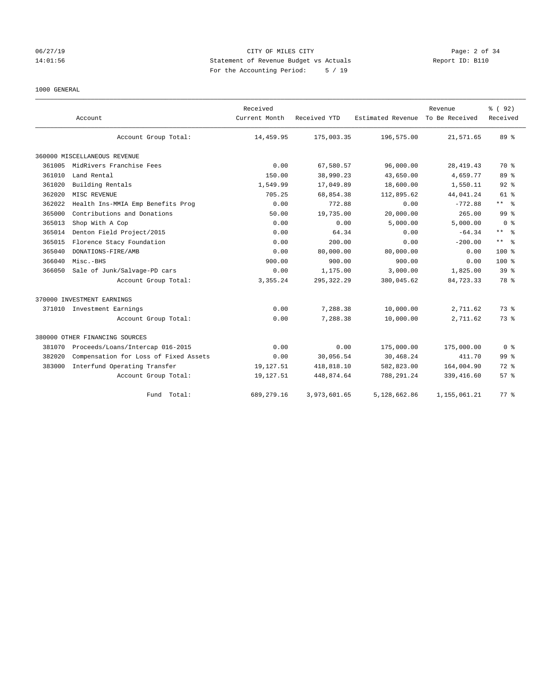## 06/27/19 CITY OF MILES CITY Page: 2 of 34 14:01:56 Statement of Revenue Budget vs Actuals Report ID: B110 For the Accounting Period: 5 / 19

## 1000 GENERAL

|        | Account                               | Received<br>Current Month | Received YTD | Estimated Revenue | Revenue<br>To Be Received | % (92)<br>Received |
|--------|---------------------------------------|---------------------------|--------------|-------------------|---------------------------|--------------------|
|        | Account Group Total:                  | 14,459.95                 | 175,003.35   | 196,575.00        | 21,571.65                 | 89 %               |
|        | 360000 MISCELLANEOUS REVENUE          |                           |              |                   |                           |                    |
| 361005 | MidRivers Franchise Fees              | 0.00                      | 67,580.57    | 96,000.00         | 28, 419. 43               | 70 %               |
| 361010 | Land Rental                           | 150.00                    | 38,990.23    | 43,650.00         | 4,659.77                  | 89 %               |
| 361020 | Building Rentals                      | 1,549.99                  | 17,049.89    | 18,600.00         | 1,550.11                  | $92$ $%$           |
| 362020 | MISC REVENUE                          | 705.25                    | 68,854.38    | 112,895.62        | 44,041.24                 | 61 %               |
| 362022 | Health Ins-MMIA Emp Benefits Prog     | 0.00                      | 772.88       | 0.00              | $-772.88$                 | ** %               |
| 365000 | Contributions and Donations           | 50.00                     | 19,735.00    | 20,000.00         | 265.00                    | 99 <sup>8</sup>    |
| 365013 | Shop With A Cop                       | 0.00                      | 0.00         | 5,000.00          | 5,000.00                  | 0 <sup>8</sup>     |
| 365014 | Denton Field Project/2015             | 0.00                      | 64.34        | 0.00              | $-64.34$                  | ** *               |
| 365015 | Florence Stacy Foundation             | 0.00                      | 200.00       | 0.00              | $-200.00$                 | $***$ $=$          |
| 365040 | DONATIONS-FIRE/AMB                    | 0.00                      | 80,000.00    | 80,000.00         | 0.00                      | 100 <sub>8</sub>   |
| 366040 | Misc.-BHS                             | 900.00                    | 900.00       | 900.00            | 0.00                      | 100 <sub>8</sub>   |
| 366050 | Sale of Junk/Salvage-PD cars          | 0.00                      | 1,175.00     | 3,000.00          | 1,825.00                  | 39 <sup>8</sup>    |
|        | Account Group Total:                  | 3, 355.24                 | 295, 322.29  | 380,045.62        | 84,723.33                 | 78 %               |
|        | 370000 INVESTMENT EARNINGS            |                           |              |                   |                           |                    |
|        | 371010 Investment Earnings            | 0.00                      | 7,288.38     | 10,000.00         | 2,711.62                  | 73%                |
|        | Account Group Total:                  | 0.00                      | 7,288.38     | 10,000.00         | 2,711.62                  | 73 %               |
|        | 380000 OTHER FINANCING SOURCES        |                           |              |                   |                           |                    |
| 381070 | Proceeds/Loans/Intercap 016-2015      | 0.00                      | 0.00         | 175,000.00        | 175,000.00                | 0 <sup>8</sup>     |
| 382020 | Compensation for Loss of Fixed Assets | 0.00                      | 30,056.54    | 30,468.24         | 411.70                    | 99 <sup>8</sup>    |
| 383000 | Interfund Operating Transfer          | 19,127.51                 | 418,818.10   | 582,823.00        | 164,004.90                | 72 %               |
|        | Account Group Total:                  | 19,127.51                 | 448,874.64   | 788, 291.24       | 339, 416.60               | 57%                |
|        | Fund<br>Total:                        | 689, 279.16               | 3,973,601.65 | 5,128,662.86      | 1,155,061.21              | 77.8               |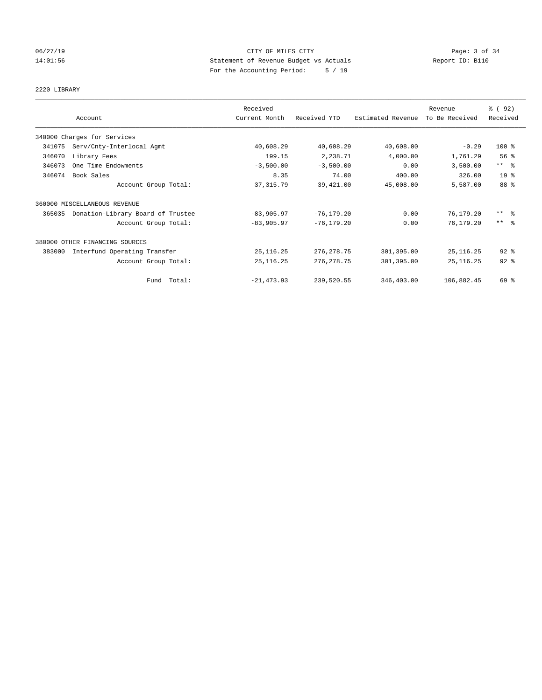## 06/27/19 CITY OF MILES CITY Page: 3 of 34 14:01:56 Statement of Revenue Budget vs Actuals Report ID: B110 For the Accounting Period: 5 / 19

## 2220 LIBRARY

|        |                                   | Received      |               | Revenue           |                |                         |
|--------|-----------------------------------|---------------|---------------|-------------------|----------------|-------------------------|
|        | Account                           | Current Month | Received YTD  | Estimated Revenue | To Be Received | Received                |
|        | 340000 Charges for Services       |               |               |                   |                |                         |
| 341075 | Serv/Cnty-Interlocal Agmt         | 40,608.29     | 40,608.29     | 40,608.00         | $-0.29$        | $100$ %                 |
| 346070 | Library Fees                      | 199.15        | 2,238.71      | 4,000.00          | 1,761.29       | 56%                     |
| 346073 | One Time Endowments               | $-3,500.00$   | $-3,500.00$   | 0.00              | 3,500.00       | $***$ $ -$              |
| 346074 | Book Sales                        | 8.35          | 74.00         | 400.00            | 326.00         | 19 <sup>°</sup>         |
|        | Account Group Total:              | 37, 315.79    | 39,421.00     | 45,008.00         | 5,587.00       | 88 %                    |
|        | 360000 MISCELLANEOUS REVENUE      |               |               |                   |                |                         |
| 365035 | Donation-Library Board of Trustee | $-83,905.97$  | $-76, 179.20$ | 0.00              | 76,179.20      | $***$ $=$ $\frac{6}{5}$ |
|        | Account Group Total:              | $-83,905.97$  | $-76, 179.20$ | 0.00              | 76,179.20      | $***$ $=$               |
|        | 380000 OTHER FINANCING SOURCES    |               |               |                   |                |                         |
| 383000 | Interfund Operating Transfer      | 25, 116. 25   | 276, 278.75   | 301,395.00        | 25, 116.25     | $92$ $%$                |
|        | Account Group Total:              | 25, 116.25    | 276, 278.75   | 301,395.00        | 25, 116.25     | $92$ $%$                |
|        | Fund Total:                       | $-21, 473.93$ | 239,520.55    | 346,403.00        | 106,882.45     | 69 %                    |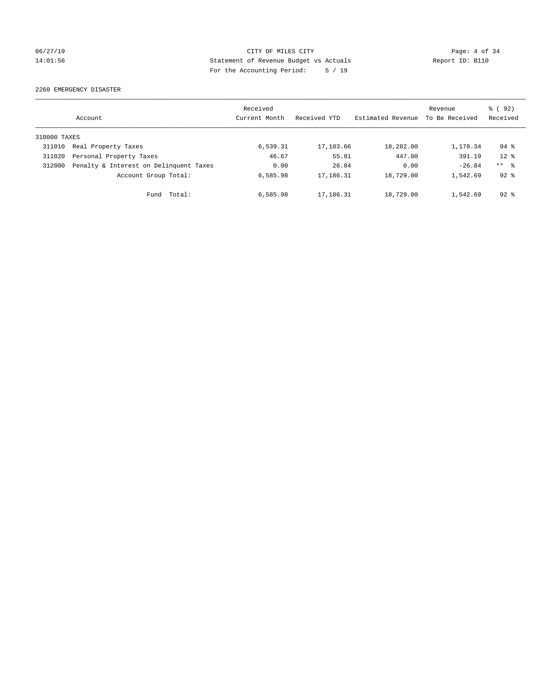## 06/27/19 CITY OF MILES CITY Page: 4 of 34 14:01:56 Statement of Revenue Budget vs Actuals Report ID: B110 For the Accounting Period: 5 / 19

2260 EMERGENCY DISASTER

|              | Account                                | Received<br>Current Month | Received YTD | Estimated Revenue | Revenue<br>To Be Received | % ( 92 )<br>Received |
|--------------|----------------------------------------|---------------------------|--------------|-------------------|---------------------------|----------------------|
| 310000 TAXES |                                        |                           |              |                   |                           |                      |
| 311010       | Real Property Taxes                    | 6,539.31                  | 17, 103.66   | 18,282.00         | 1,178.34                  | $94$ $%$             |
| 311020       | Personal Property Taxes                | 46.67                     | 55.81        | 447.00            | 391.19                    | $12*$                |
| 312000       | Penalty & Interest on Delinquent Taxes | 0.00                      | 26.84        | 0.00              | $-26.84$                  | $***$ $\frac{6}{5}$  |
|              | Account Group Total:                   | 6,585.98                  | 17,186.31    | 18,729.00         | 1,542.69                  | $92*$                |
|              | Fund Total:                            | 6,585.98                  | 17,186.31    | 18,729.00         | 1,542.69                  | $92*$                |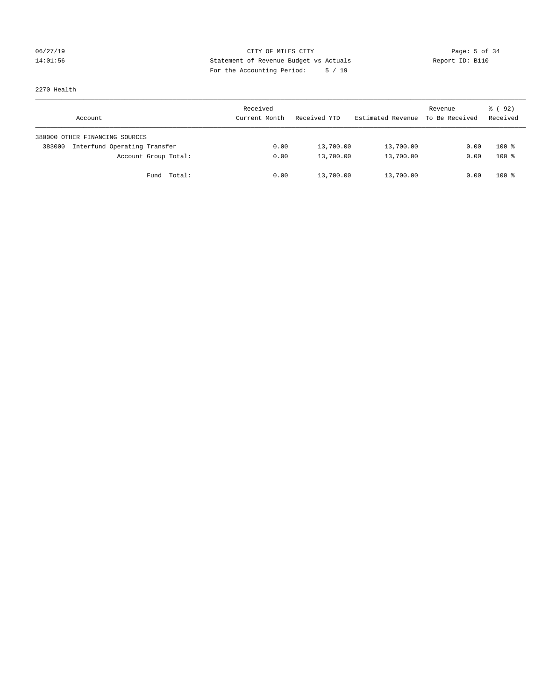## 06/27/19 CITY OF MILES CITY Page: 5 of 34 14:01:56 Statement of Revenue Budget vs Actuals Report ID: B110 For the Accounting Period: 5 / 19

2270 Health

| Account                                | Received<br>Current Month | Received YTD | Estimated Revenue | Revenue<br>To Be Received | 8 (92)<br>Received |
|----------------------------------------|---------------------------|--------------|-------------------|---------------------------|--------------------|
| 380000 OTHER FINANCING SOURCES         |                           |              |                   |                           |                    |
| Interfund Operating Transfer<br>383000 | 0.00                      | 13,700.00    | 13,700.00         | 0.00                      | $100*$             |
| Account Group Total:                   | 0.00                      | 13,700.00    | 13,700.00         | 0.00                      | $100*$             |
| Fund Total:                            | 0.00                      | 13,700.00    | 13,700.00         | 0.00                      | $100*$             |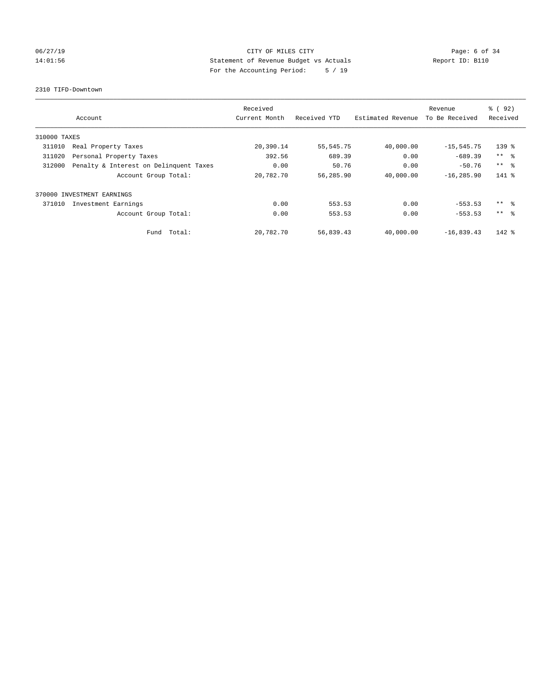# 06/27/19 **CITY OF MILES CITY CITY CITY CITY Page: 6 of 34** 14:01:56 Statement of Revenue Budget vs Actuals Report ID: B110 For the Accounting Period: 5 / 19

2310 TIFD-Downtown

|              | Account                                | Received<br>Current Month | Received YTD | Estimated Revenue | Revenue<br>To Be Received | % (92)<br>Received |
|--------------|----------------------------------------|---------------------------|--------------|-------------------|---------------------------|--------------------|
| 310000 TAXES |                                        |                           |              |                   |                           |                    |
| 311010       | Real Property Taxes                    | 20,390.14                 | 55, 545. 75  | 40,000.00         | $-15, 545.75$             | $139$ %            |
| 311020       | Personal Property Taxes                | 392.56                    | 689.39       | 0.00              | $-689.39$                 | $***$ $ -$         |
| 312000       | Penalty & Interest on Delinquent Taxes | 0.00                      | 50.76        | 0.00              | $-50.76$                  | $***$ $\approx$    |
|              | Account Group Total:                   | 20,782.70                 | 56,285.90    | 40,000.00         | $-16, 285.90$             | 141 %              |
|              | 370000 INVESTMENT EARNINGS             |                           |              |                   |                           |                    |
| 371010       | Investment Earnings                    | 0.00                      | 553.53       | 0.00              | $-553.53$                 | $***$ $\approx$    |
|              | Account Group Total:                   | 0.00                      | 553.53       | 0.00              | $-553.53$                 | $***$ $\approx$    |
|              | Fund Total:                            | 20,782.70                 | 56,839.43    | 40,000.00         | $-16,839.43$              | $142$ %            |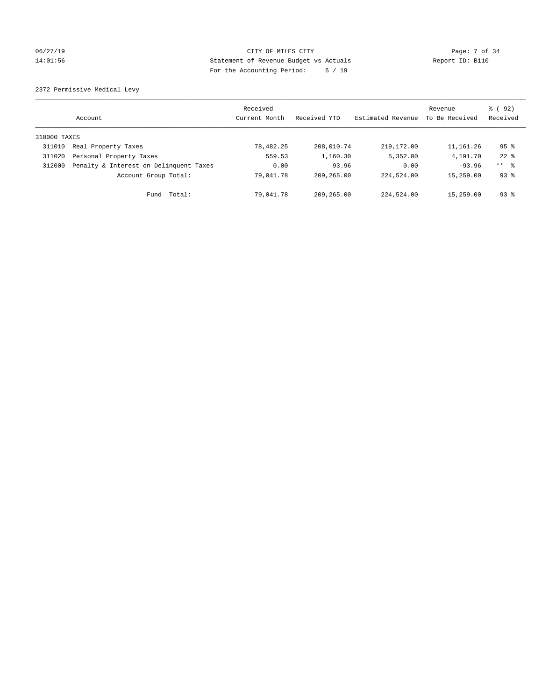## 06/27/19 CITY OF MILES CITY CHANNEL CITY CONTROL Page: 7 of 34 14:01:56 Statement of Revenue Budget vs Actuals Report ID: B110 For the Accounting Period: 5 / 19

2372 Permissive Medical Levy

|              | Account                                | Received<br>Current Month | Received YTD | Estimated Revenue | Revenue<br>To Be Received | % (92)<br>Received  |
|--------------|----------------------------------------|---------------------------|--------------|-------------------|---------------------------|---------------------|
| 310000 TAXES |                                        |                           |              |                   |                           |                     |
| 311010       | Real Property Taxes                    | 78,482.25                 | 208,010.74   | 219, 172.00       | 11,161.26                 | 95 <sup>°</sup>     |
| 311020       | Personal Property Taxes                | 559.53                    | 1,160.30     | 5,352.00          | 4,191.70                  | $22$ $%$            |
| 312000       | Penalty & Interest on Delinquent Taxes | 0.00                      | 93.96        | 0.00              | $-93.96$                  | $***$ $\frac{6}{5}$ |
|              | Account Group Total:                   | 79,041.78                 | 209,265.00   | 224,524.00        | 15,259.00                 | $93*$               |
|              | Fund Total:                            | 79,041.78                 | 209,265.00   | 224,524.00        | 15,259.00                 | $93*$               |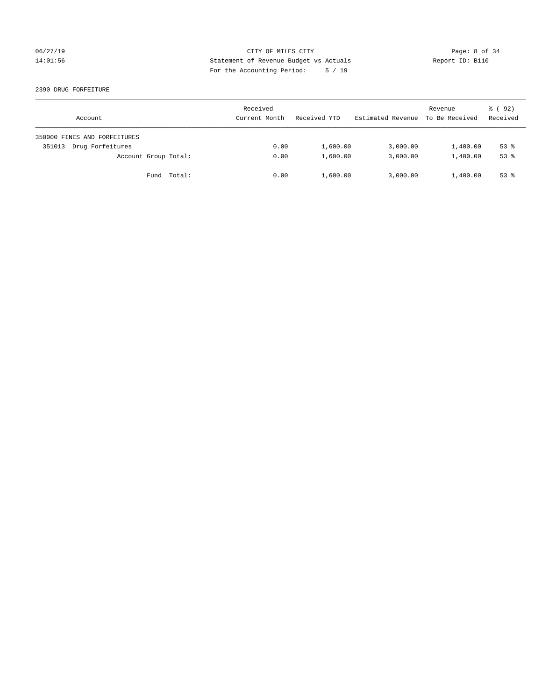## 06/27/19 CITY OF MILES CITY Page: 8 of 34 14:01:56 Statement of Revenue Budget vs Actuals Report ID: B110 For the Accounting Period: 5 / 19

### 2390 DRUG FORFEITURE

| Account                      | Received<br>Current Month | Received YTD | Estimated Revenue | Revenue<br>To Be Received | 8 (92)<br>Received |
|------------------------------|---------------------------|--------------|-------------------|---------------------------|--------------------|
| 350000 FINES AND FORFEITURES |                           |              |                   |                           |                    |
| Drug Forfeitures<br>351013   | 0.00                      | 1,600.00     | 3,000.00          | 1,400.00                  | $53$ $%$           |
| Account Group Total:         | 0.00                      | 1,600.00     | 3,000.00          | 1,400.00                  | $53*$              |
| Fund Total:                  | 0.00                      | 1,600.00     | 3,000.00          | 1,400.00                  | $53*$              |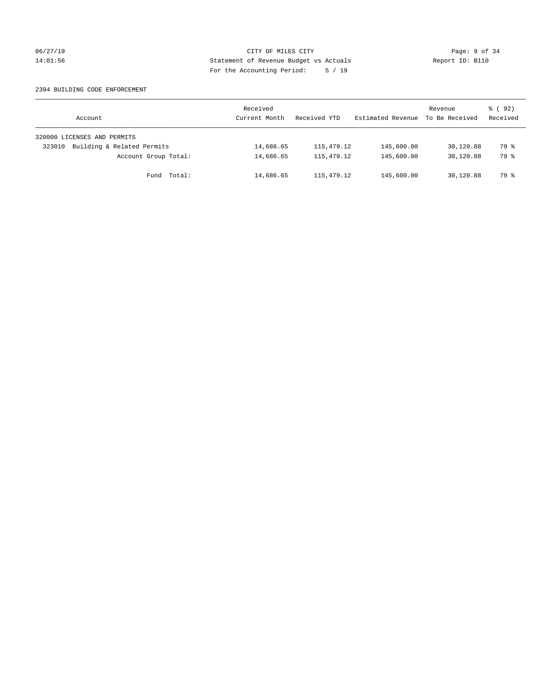## 06/27/19 CITY OF MILES CITY Page: 9 of 34 14:01:56 Statement of Revenue Budget vs Actuals Report ID: B110 For the Accounting Period: 5 / 19

### 2394 BUILDING CODE ENFORCEMENT

| Account                              | Received<br>Current Month | Received YTD | Estimated Revenue | Revenue<br>To Be Received | 8 (92)<br>Received |
|--------------------------------------|---------------------------|--------------|-------------------|---------------------------|--------------------|
| 320000 LICENSES AND PERMITS          |                           |              |                   |                           |                    |
| Building & Related Permits<br>323010 | 14,686.65                 | 115,479.12   | 145,600.00        | 30,120.88                 | 79 %               |
| Account Group Total:                 | 14,686.65                 | 115, 479. 12 | 145,600.00        | 30,120.88                 | 79 %               |
| Fund Total:                          | 14,686.65                 | 115, 479.12  | 145,600.00        | 30,120.88                 | 79 %               |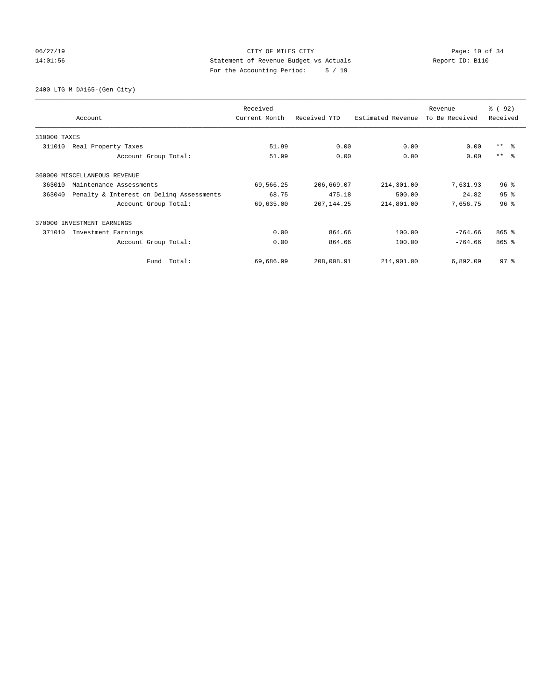## 06/27/19 Page: 10 of 34 14:01:56 Statement of Revenue Budget vs Actuals Report ID: B110 For the Accounting Period: 5 / 19

2400 LTG M D#165-(Gen City)

|              | Account                                  | Received<br>Current Month | Received YTD | Estimated Revenue | Revenue<br>To Be Received | 8 (92)<br>Received |
|--------------|------------------------------------------|---------------------------|--------------|-------------------|---------------------------|--------------------|
| 310000 TAXES |                                          |                           |              |                   |                           |                    |
| 311010       | Real Property Taxes                      | 51.99                     | 0.00         | 0.00              | 0.00                      | $***$ $ -$         |
|              | Account Group Total:                     | 51.99                     | 0.00         | 0.00              | 0.00                      | $***$ $ -$         |
|              | 360000 MISCELLANEOUS REVENUE             |                           |              |                   |                           |                    |
| 363010       | Maintenance Assessments                  | 69,566.25                 | 206,669.07   | 214,301.00        | 7,631.93                  | 96 <sup>8</sup>    |
| 363040       | Penalty & Interest on Deling Assessments | 68.75                     | 475.18       | 500.00            | 24.82                     | 95 <sup>8</sup>    |
|              | Account Group Total:                     | 69,635.00                 | 207, 144.25  | 214,801.00        | 7,656.75                  | 96 <sup>°</sup>    |
|              | 370000 INVESTMENT EARNINGS               |                           |              |                   |                           |                    |
| 371010       | Investment Earnings                      | 0.00                      | 864.66       | 100.00            | $-764.66$                 | $865$ $%$          |
|              | Account Group Total:                     | 0.00                      | 864.66       | 100.00            | $-764.66$                 | $865$ $%$          |
|              | Fund Total:                              | 69,686.99                 | 208,008.91   | 214,901.00        | 6,892.09                  | 97 <sup>°</sup>    |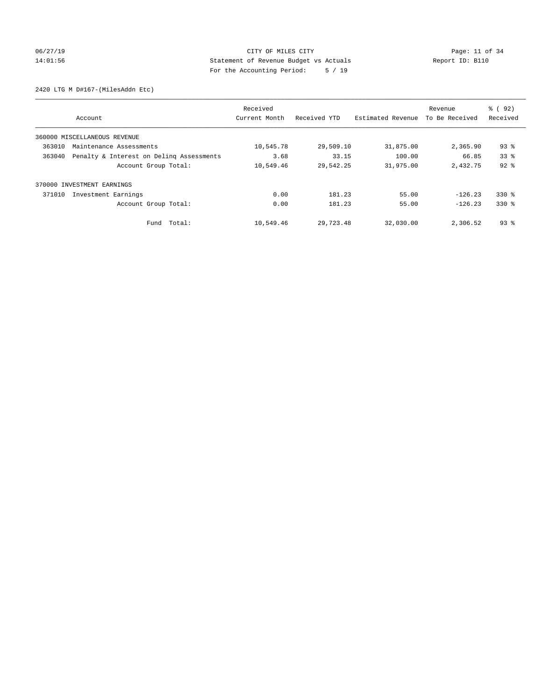# 06/27/19 Page: 11 of 34 14:01:56 Statement of Revenue Budget vs Actuals Report ID: B110 For the Accounting Period: 5 / 19

2420 LTG M D#167-(MilesAddn Etc)

|        | Account                                  | Received<br>Current Month | Received YTD | Estimated Revenue | Revenue<br>To Be Received | % (92)<br>Received |
|--------|------------------------------------------|---------------------------|--------------|-------------------|---------------------------|--------------------|
|        |                                          |                           |              |                   |                           |                    |
|        | 360000 MISCELLANEOUS REVENUE             |                           |              |                   |                           |                    |
| 363010 | Maintenance Assessments                  | 10,545.78                 | 29,509.10    | 31,875.00         | 2,365.90                  | $93$ $%$           |
| 363040 | Penalty & Interest on Deling Assessments | 3.68                      | 33.15        | 100.00            | 66.85                     | 33 <sup>8</sup>    |
|        | Account Group Total:                     | 10,549.46                 | 29,542.25    | 31,975.00         | 2,432.75                  | $92$ $%$           |
|        | 370000 INVESTMENT EARNINGS               |                           |              |                   |                           |                    |
| 371010 | Investment Earnings                      | 0.00                      | 181.23       | 55.00             | $-126.23$                 | $330*$             |
|        | Account Group Total:                     | 0.00                      | 181.23       | 55.00             | $-126.23$                 | $330*$             |
|        | Total:<br>Fund                           | 10,549.46                 | 29,723.48    | 32,030.00         | 2,306.52                  | $93$ $%$           |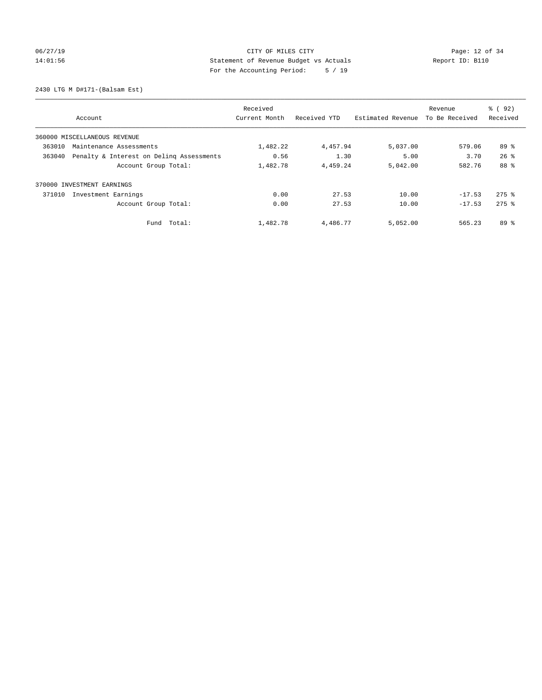# 06/27/19 Page: 12 of 34 14:01:56 Statement of Revenue Budget vs Actuals Report ID: B110 For the Accounting Period: 5 / 19

2430 LTG M D#171-(Balsam Est)

|                                                    | Received      |              |                   | Revenue        | % ( 92 )            |
|----------------------------------------------------|---------------|--------------|-------------------|----------------|---------------------|
| Account                                            | Current Month | Received YTD | Estimated Revenue | To Be Received | Received            |
| 360000 MISCELLANEOUS REVENUE                       |               |              |                   |                |                     |
| 363010<br>Maintenance Assessments                  | 1,482.22      | 4,457.94     | 5,037.00          | 579.06         | 89 %                |
| 363040<br>Penalty & Interest on Deling Assessments | 0.56          | 1.30         | 5.00              | 3.70           | $26$ $\frac{6}{3}$  |
| Account Group Total:                               | 1,482.78      | 4,459.24     | 5,042.00          | 582.76         | 88 %                |
| 370000 INVESTMENT EARNINGS                         |               |              |                   |                |                     |
| 371010<br>Investment Earnings                      | 0.00          | 27.53        | 10.00             | $-17.53$       | $275$ $\frac{6}{5}$ |
| Account Group Total:                               | 0.00          | 27.53        | 10.00             | $-17.53$       | $275$ $\frac{6}{5}$ |
| Total:<br>Fund                                     | 1,482.78      | 4,486.77     | 5,052.00          | 565.23         | 89 %                |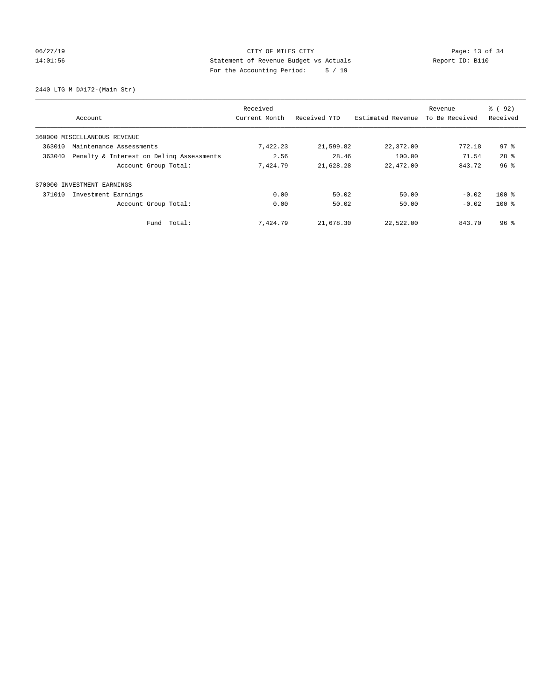# 06/27/19 Page: 13 of 34 14:01:56 Statement of Revenue Budget vs Actuals Report ID: B110 For the Accounting Period: 5 / 19

2440 LTG M D#172-(Main Str)

|                                                    | Received      |              |                   | Revenue        | % (92)          |
|----------------------------------------------------|---------------|--------------|-------------------|----------------|-----------------|
| Account                                            | Current Month | Received YTD | Estimated Revenue | To Be Received | Received        |
| 360000 MISCELLANEOUS REVENUE                       |               |              |                   |                |                 |
| 363010<br>Maintenance Assessments                  | 7,422.23      | 21,599.82    | 22,372.00         | 772.18         | 97 <sup>8</sup> |
| Penalty & Interest on Deling Assessments<br>363040 | 2.56          | 28.46        | 100.00            | 71.54          | 28 <sup>8</sup> |
| Account Group Total:                               | 7,424.79      | 21,628.28    | 22,472.00         | 843.72         | 96%             |
| INVESTMENT EARNINGS<br>370000                      |               |              |                   |                |                 |
| 371010<br>Investment Earnings                      | 0.00          | 50.02        | 50.00             | $-0.02$        | $100*$          |
| Account Group Total:                               | 0.00          | 50.02        | 50.00             | $-0.02$        | $100*$          |
| Fund Total:                                        | 7,424.79      | 21,678.30    | 22,522.00         | 843.70         | 96 <sup>8</sup> |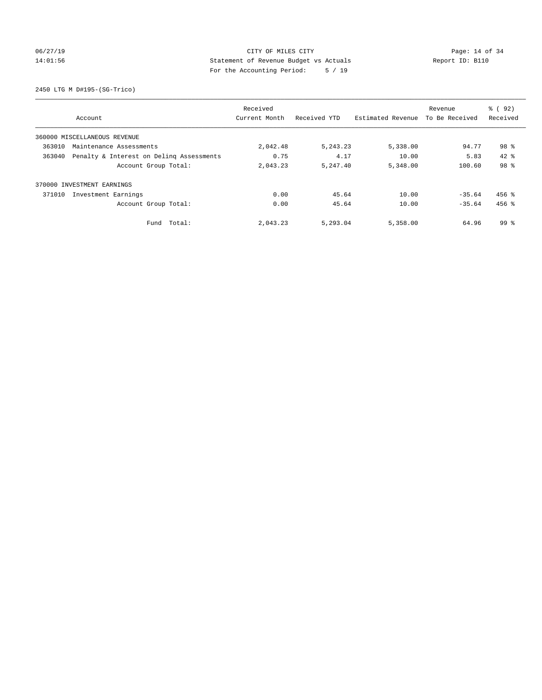# 06/27/19 Page: 14 of 34 14:01:56 Statement of Revenue Budget vs Actuals Report ID: B110 For the Accounting Period: 5 / 19

2450 LTG M D#195-(SG-Trico)

|                                                    | Received      |              |                   | Revenue        | 8 (92)          |
|----------------------------------------------------|---------------|--------------|-------------------|----------------|-----------------|
| Account                                            | Current Month | Received YTD | Estimated Revenue | To Be Received | Received        |
| 360000 MISCELLANEOUS REVENUE                       |               |              |                   |                |                 |
| 363010<br>Maintenance Assessments                  | 2,042.48      | 5, 243. 23   | 5,338.00          | 94.77          | 98 <sup>8</sup> |
| Penalty & Interest on Deling Assessments<br>363040 | 0.75          | 4.17         | 10.00             | 5.83           | $42*$           |
| Account Group Total:                               | 2,043.23      | 5,247.40     | 5,348.00          | 100.60         | 98 %            |
| INVESTMENT EARNINGS<br>370000                      |               |              |                   |                |                 |
| 371010<br>Investment Earnings                      | 0.00          | 45.64        | 10.00             | $-35.64$       | $456$ %         |
| Account Group Total:                               | 0.00          | 45.64        | 10.00             | $-35.64$       | $456$ $%$       |
| Fund Total:                                        | 2,043.23      | 5,293.04     | 5,358.00          | 64.96          | $99*$           |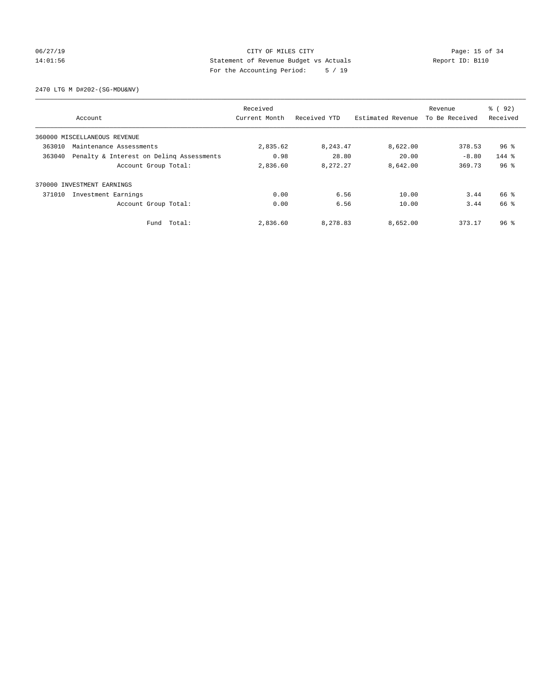## 06/27/19 Page: 15 of 34 14:01:56 Statement of Revenue Budget vs Actuals Report ID: B110 For the Accounting Period: 5 / 19

2470 LTG M D#202-(SG-MDU&NV)

|        |                                          | Received      |              |                   | Revenue        | 8 (92)          |
|--------|------------------------------------------|---------------|--------------|-------------------|----------------|-----------------|
|        | Account                                  | Current Month | Received YTD | Estimated Revenue | To Be Received | Received        |
|        | 360000 MISCELLANEOUS REVENUE             |               |              |                   |                |                 |
| 363010 | Maintenance Assessments                  | 2,835.62      | 8, 243.47    | 8,622.00          | 378.53         | $96*$           |
| 363040 | Penalty & Interest on Deling Assessments | 0.98          | 28.80        | 20.00             | $-8.80$        | $144$ $%$       |
|        | Account Group Total:                     | 2,836.60      | 8,272.27     | 8,642.00          | 369.73         | 96 <sup>8</sup> |
| 370000 | INVESTMENT EARNINGS                      |               |              |                   |                |                 |
| 371010 | Investment Earnings                      | 0.00          | 6.56         | 10.00             | 3.44           | 66 %            |
|        | Account Group Total:                     | 0.00          | 6.56         | 10.00             | 3.44           | 66 %            |
|        | Fund Total:                              | 2,836.60      | 8,278.83     | 8,652.00          | 373.17         | 96 <sup>8</sup> |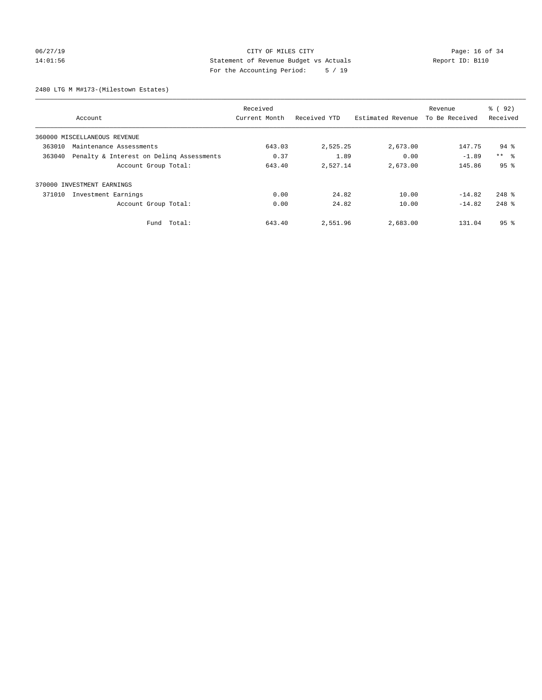## 06/27/19 Page: 16 of 34 14:01:56 Statement of Revenue Budget vs Actuals Report ID: B110 For the Accounting Period: 5 / 19

2480 LTG M M#173-(Milestown Estates)

|        |                                          | Received      |              | Revenue           |                | % ( 92 )        |
|--------|------------------------------------------|---------------|--------------|-------------------|----------------|-----------------|
|        | Account                                  | Current Month | Received YTD | Estimated Revenue | To Be Received | Received        |
|        | 360000 MISCELLANEOUS REVENUE             |               |              |                   |                |                 |
| 363010 | Maintenance Assessments                  | 643.03        | 2,525.25     | 2,673.00          | 147.75         | $94$ %          |
| 363040 | Penalty & Interest on Deling Assessments | 0.37          | 1.89         | 0.00              | $-1.89$        | $***$ $ -$      |
|        | Account Group Total:                     | 643.40        | 2,527.14     | 2,673.00          | 145.86         | 95 <sup>8</sup> |
|        | 370000 INVESTMENT EARNINGS               |               |              |                   |                |                 |
| 371010 | Investment Earnings                      | 0.00          | 24.82        | 10.00             | $-14.82$       | $248$ %         |
|        | Account Group Total:                     | 0.00          | 24.82        | 10.00             | $-14.82$       | $248$ %         |
|        | Fund Total:                              | 643.40        | 2,551.96     | 2,683.00          | 131.04         | 95 <sup>8</sup> |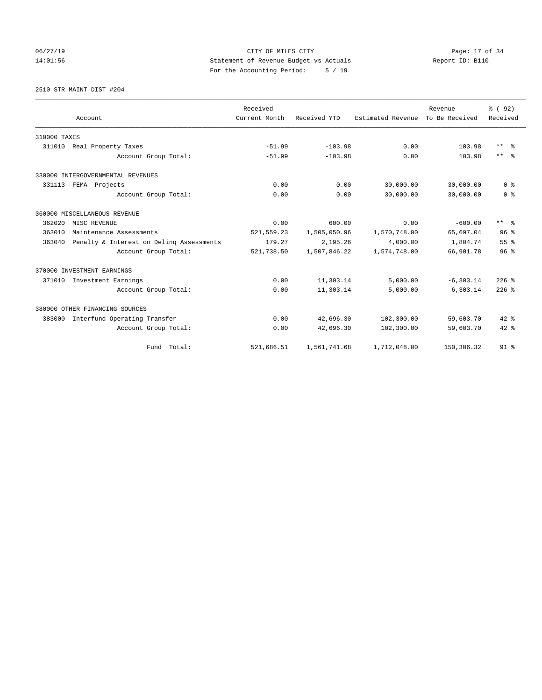# 06/27/19 Page: 17 of 34 14:01:56 Statement of Revenue Budget vs Actuals Report ID: B110 For the Accounting Period: 5 / 19

2510 STR MAINT DIST #204

|                                                    |                      | Received      |              |                   | Revenue        | % (92)          |
|----------------------------------------------------|----------------------|---------------|--------------|-------------------|----------------|-----------------|
| Account                                            |                      | Current Month | Received YTD | Estimated Revenue | To Be Received | Received        |
| 310000 TAXES                                       |                      |               |              |                   |                |                 |
| Real Property Taxes<br>311010                      |                      | $-51.99$      | $-103.98$    | 0.00              | 103.98         | $***$ $\approx$ |
|                                                    | Account Group Total: | $-51.99$      | $-103.98$    | 0.00              | 103.98         | $***$ $=$       |
| 330000 INTERGOVERNMENTAL REVENUES                  |                      |               |              |                   |                |                 |
| 331113 FEMA -Projects                              |                      | 0.00          | 0.00         | 30,000.00         | 30,000.00      | 0 <sup>8</sup>  |
|                                                    | Account Group Total: | 0.00          | 0.00         | 30,000.00         | 30,000.00      | 0 <sup>8</sup>  |
| 360000 MISCELLANEOUS REVENUE                       |                      |               |              |                   |                |                 |
| 362020<br>MISC REVENUE                             |                      | 0.00          | 600.00       | 0.00              | $-600.00$      | $***$ $%$       |
| 363010<br>Maintenance Assessments                  |                      | 521, 559.23   | 1,505,050.96 | 1,570,748.00      | 65,697.04      | 96 <sup>8</sup> |
| Penalty & Interest on Deling Assessments<br>363040 |                      | 179.27        | 2,195.26     | 4,000.00          | 1,804.74       | 55%             |
|                                                    | Account Group Total: | 521,738.50    | 1,507,846.22 | 1,574,748.00      | 66,901.78      | 96 <sup>8</sup> |
| 370000 INVESTMENT EARNINGS                         |                      |               |              |                   |                |                 |
| 371010<br>Investment Earnings                      |                      | 0.00          | 11,303.14    | 5,000.00          | $-6, 303.14$   | $226$ %         |
|                                                    | Account Group Total: | 0.00          | 11,303.14    | 5,000.00          | $-6.303.14$    | $226$ %         |
| 380000 OTHER FINANCING SOURCES                     |                      |               |              |                   |                |                 |
| 383000<br>Interfund Operating Transfer             |                      | 0.00          | 42,696.30    | 102,300.00        | 59,603.70      | $42*$           |
|                                                    | Account Group Total: | 0.00          | 42,696.30    | 102,300.00        | 59,603.70      | $42$ %          |
|                                                    | Fund Total:          | 521,686.51    | 1,561,741.68 | 1,712,048.00      | 150,306.32     | 91 <sub>8</sub> |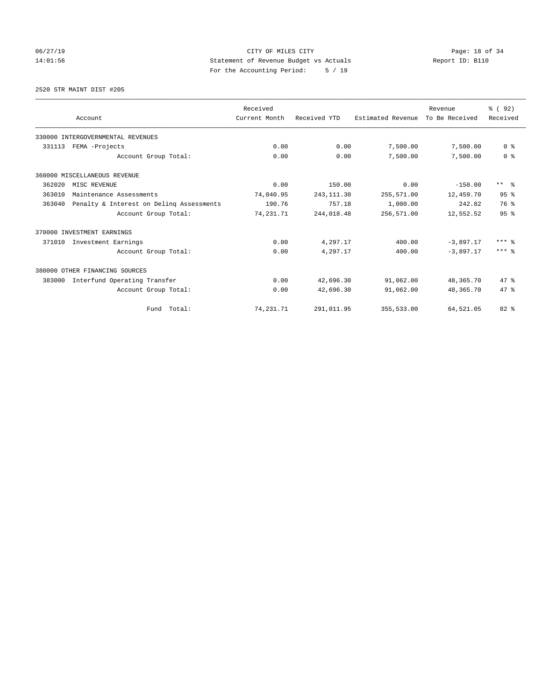# 06/27/19 Page: 18 of 34 14:01:56 Statement of Revenue Budget vs Actuals Report ID: B110 For the Accounting Period: 5 / 19

2520 STR MAINT DIST #205

|        |                                          | Received      |              |                   | Revenue        | 8 (92)          |
|--------|------------------------------------------|---------------|--------------|-------------------|----------------|-----------------|
|        | Account                                  | Current Month | Received YTD | Estimated Revenue | To Be Received | Received        |
|        | 330000 INTERGOVERNMENTAL REVENUES        |               |              |                   |                |                 |
| 331113 | FEMA -Projects                           | 0.00          | 0.00         | 7,500.00          | 7,500.00       | 0 <sup>8</sup>  |
|        | Account Group Total:                     | 0.00          | 0.00         | 7,500.00          | 7,500.00       | 0 <sup>8</sup>  |
|        | 360000 MISCELLANEOUS REVENUE             |               |              |                   |                |                 |
| 362020 | MISC REVENUE                             | 0.00          | 150.00       | 0.00              | $-150.00$      | $***$ $\approx$ |
| 363010 | Maintenance Assessments                  | 74,040.95     | 243, 111.30  | 255,571.00        | 12,459.70      | 95%             |
| 363040 | Penalty & Interest on Deling Assessments | 190.76        | 757.18       | 1,000.00          | 242.82         | 76 %            |
|        | Account Group Total:                     | 74,231.71     | 244,018.48   | 256,571.00        | 12,552.52      | 95%             |
|        | 370000 INVESTMENT EARNINGS               |               |              |                   |                |                 |
| 371010 | Investment Earnings                      | 0.00          | 4,297.17     | 400.00            | $-3.897.17$    | $***$ $%$       |
|        | Account Group Total:                     | 0.00          | 4,297.17     | 400.00            | $-3.897.17$    | $***$ $%$       |
|        | 380000 OTHER FINANCING SOURCES           |               |              |                   |                |                 |
| 383000 | Interfund Operating Transfer             | 0.00          | 42,696.30    | 91,062.00         | 48,365.70      | 47.8            |
|        | Account Group Total:                     | 0.00          | 42,696.30    | 91,062.00         | 48,365.70      | 47.8            |
|        | Fund Total:                              | 74, 231. 71   | 291,011.95   | 355,533.00        | 64,521.05      | $82*$           |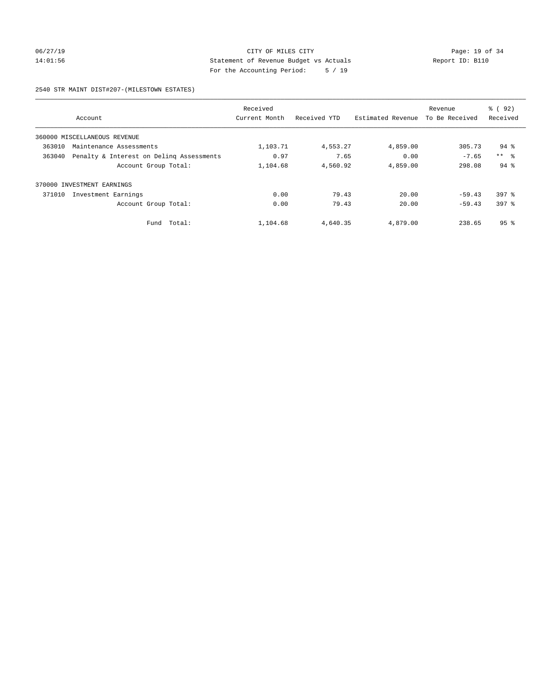## 06/27/19 Page: 19 of 34 14:01:56 Statement of Revenue Budget vs Actuals Report ID: B110 For the Accounting Period: 5 / 19

2540 STR MAINT DIST#207-(MILESTOWN ESTATES)

|        |                                          | Received      |              |                   | Revenue        | % ( 92 )           |
|--------|------------------------------------------|---------------|--------------|-------------------|----------------|--------------------|
|        | Account                                  | Current Month | Received YTD | Estimated Revenue | To Be Received | Received           |
|        | 360000 MISCELLANEOUS REVENUE             |               |              |                   |                |                    |
| 363010 | Maintenance Assessments                  | 1,103.71      | 4,553.27     | 4,859.00          | 305.73         | $94$ $\frac{6}{3}$ |
| 363040 | Penalty & Interest on Deling Assessments | 0.97          | 7.65         | 0.00              | $-7.65$        | $***$ $\approx$    |
|        | Account Group Total:                     | 1,104.68      | 4,560.92     | 4,859.00          | 298.08         | $94$ $%$           |
| 370000 | INVESTMENT EARNINGS                      |               |              |                   |                |                    |
| 371010 | Investment Earnings                      | 0.00          | 79.43        | 20.00             | $-59.43$       | $397$ $%$          |
|        | Account Group Total:                     | 0.00          | 79.43        | 20.00             | $-59.43$       | 397 %              |
|        | Total:<br>Fund                           | 1,104.68      | 4,640.35     | 4,879.00          | 238.65         | 95 <sub>8</sub>    |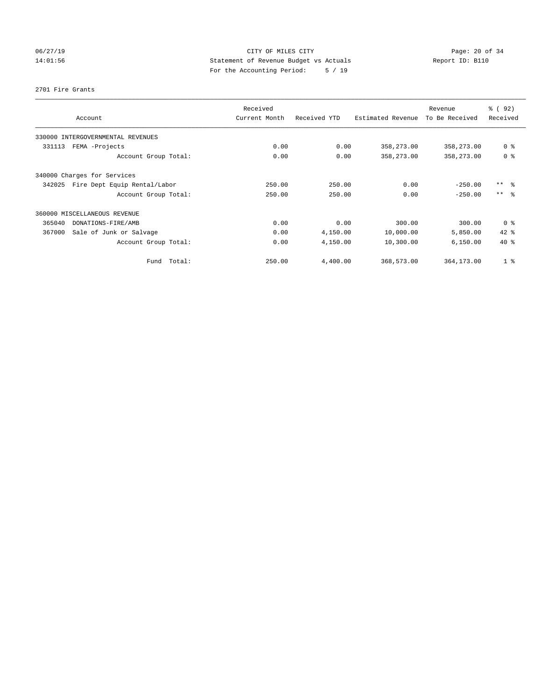# 06/27/19 Page: 20 of 34 14:01:56 Statement of Revenue Budget vs Actuals Report ID: B110 For the Accounting Period: 5 / 19

### 2701 Fire Grants

| Account                                | Received<br>Current Month | Received YTD | Estimated Revenue | Revenue<br>To Be Received | 8 (92)<br>Received        |
|----------------------------------------|---------------------------|--------------|-------------------|---------------------------|---------------------------|
| 330000 INTERGOVERNMENTAL REVENUES      |                           |              |                   |                           |                           |
| FEMA -Projects<br>331113               | 0.00                      | 0.00         | 358,273.00        | 358,273.00                | 0 <sup>8</sup>            |
| Account Group Total:                   | 0.00                      | 0.00         | 358,273.00        | 358,273.00                | 0 <sup>8</sup>            |
| 340000 Charges for Services            |                           |              |                   |                           |                           |
| 342025<br>Fire Dept Equip Rental/Labor | 250.00                    | 250.00       | 0.00              | $-250.00$                 | $***$ $ -$                |
| Account Group Total:                   | 250.00                    | 250.00       | 0.00              | $-250.00$                 | $\star\star$<br>$\approx$ |
| 360000 MISCELLANEOUS REVENUE           |                           |              |                   |                           |                           |
| 365040<br>DONATIONS-FIRE/AMB           | 0.00                      | 0.00         | 300.00            | 300.00                    | 0 <sup>8</sup>            |
| 367000<br>Sale of Junk or Salvage      | 0.00                      | 4,150.00     | 10,000.00         | 5,850.00                  | 42 %                      |
| Account Group Total:                   | 0.00                      | 4,150.00     | 10,300.00         | 6, 150.00                 | $40*$                     |
| Total:<br>Fund                         | 250.00                    | 4,400.00     | 368,573.00        | 364,173.00                | 1 <sup>8</sup>            |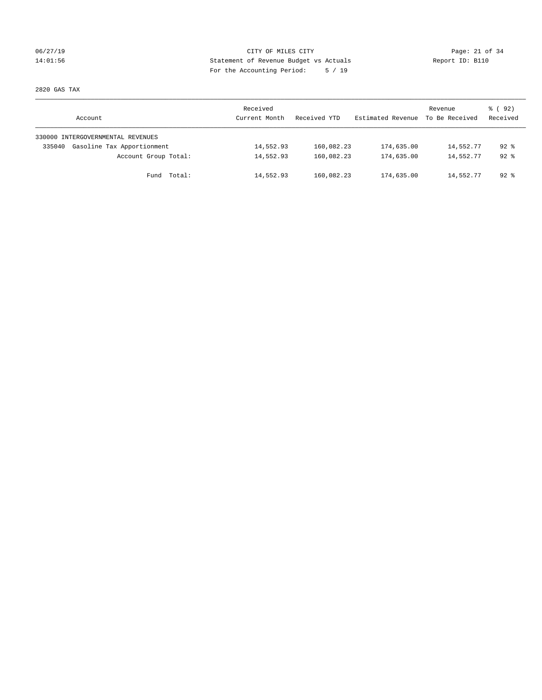## 06/27/19 Page: 21 of 34 14:01:56 Statement of Revenue Budget vs Actuals Report ID: B110 For the Accounting Period: 5 / 19

2820 GAS TAX

| Account                              | Received<br>Current Month | Received YTD | Estimated Revenue | Revenue<br>To Be Received | 8 (92)<br>Received |
|--------------------------------------|---------------------------|--------------|-------------------|---------------------------|--------------------|
| 330000 INTERGOVERNMENTAL REVENUES    |                           |              |                   |                           |                    |
| Gasoline Tax Apportionment<br>335040 | 14,552.93                 | 160,082.23   | 174,635.00        | 14,552.77                 | $92*$              |
| Account Group Total:                 | 14,552.93                 | 160,082.23   | 174,635.00        | 14,552.77                 | $92*$              |
| Fund Total:                          | 14,552.93                 | 160,082.23   | 174,635.00        | 14,552.77                 | $92$ $%$           |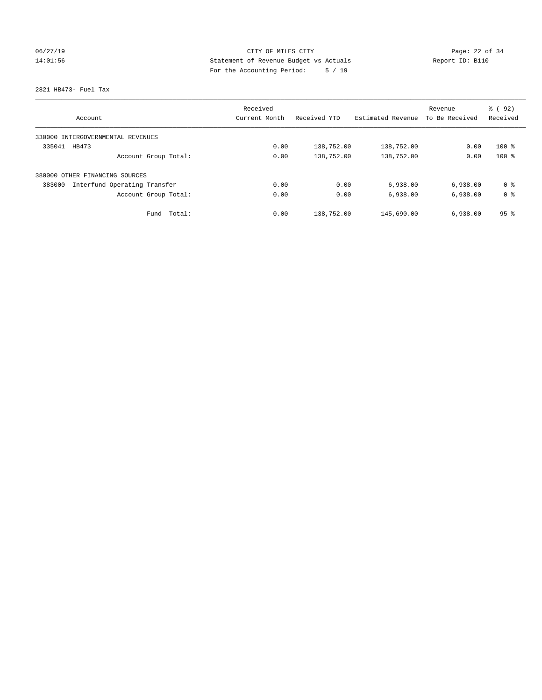# 06/27/19 Page: 22 of 34 14:01:56 Statement of Revenue Budget vs Actuals Report ID: B110 For the Accounting Period: 5 / 19

2821 HB473- Fuel Tax

|                                        | Received      |              |                   | Revenue        | % (92)          |
|----------------------------------------|---------------|--------------|-------------------|----------------|-----------------|
| Account                                | Current Month | Received YTD | Estimated Revenue | To Be Received | Received        |
| 330000 INTERGOVERNMENTAL REVENUES      |               |              |                   |                |                 |
| 335041<br>HB473                        | 0.00          | 138,752.00   | 138,752.00        | 0.00           | $100*$          |
| Account Group Total:                   | 0.00          | 138,752.00   | 138,752.00        | 0.00           | $100*$          |
| 380000 OTHER FINANCING SOURCES         |               |              |                   |                |                 |
| Interfund Operating Transfer<br>383000 | 0.00          | 0.00         | 6,938.00          | 6,938.00       | 0 ક             |
| Account Group Total:                   | 0.00          | 0.00         | 6,938.00          | 6,938.00       | 0 <sup>8</sup>  |
| Total:<br>Fund                         | 0.00          | 138,752.00   | 145,690.00        | 6,938.00       | 95 <sup>8</sup> |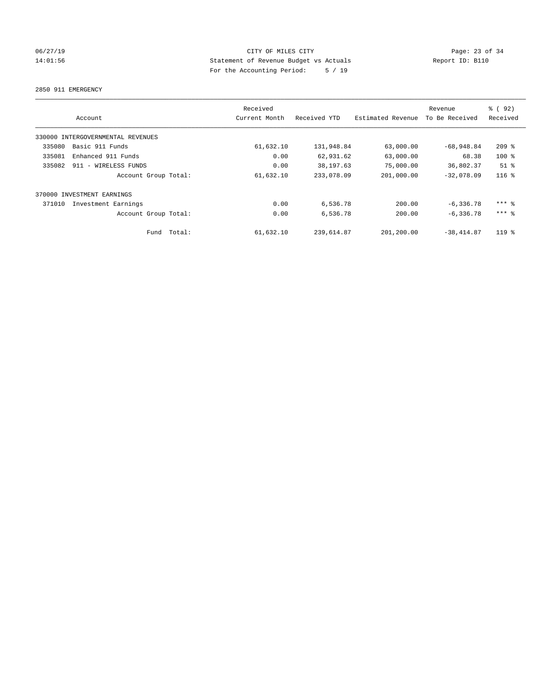## 06/27/19 Page: 23 of 34 14:01:56 Statement of Revenue Budget vs Actuals Report ID: B110 For the Accounting Period: 5 / 19

2850 911 EMERGENCY

| Account                           |        | Received<br>Current Month | Received YTD | Estimated Revenue | Revenue<br>To Be Received | % (92)<br>Received  |
|-----------------------------------|--------|---------------------------|--------------|-------------------|---------------------------|---------------------|
| 330000 INTERGOVERNMENTAL REVENUES |        |                           |              |                   |                           |                     |
| 335080<br>Basic 911 Funds         |        | 61,632.10                 | 131,948.84   | 63,000.00         | $-68,948.84$              | $209$ %             |
| Enhanced 911 Funds<br>335081      |        | 0.00                      | 62,931.62    | 63,000.00         | 68.38                     | $100*$              |
| 335082<br>911 - WIRELESS FUNDS    |        | 0.00                      | 38,197.63    | 75,000.00         | 36,802.37                 | $51$ %              |
| Account Group Total:              |        | 61,632.10                 | 233,078.09   | 201,000.00        | $-32.078.09$              | $116$ %             |
| 370000 INVESTMENT EARNINGS        |        |                           |              |                   |                           |                     |
| 371010<br>Investment Earnings     |        | 0.00                      | 6,536.78     | 200.00            | $-6, 336.78$              | $***$ $%$           |
| Account Group Total:              |        | 0.00                      | 6,536.78     | 200.00            | $-6, 336.78$              | $***$ $\frac{6}{5}$ |
| Fund                              | Total: | 61,632.10                 | 239,614.87   | 201,200.00        | $-38, 414.87$             | $119$ %             |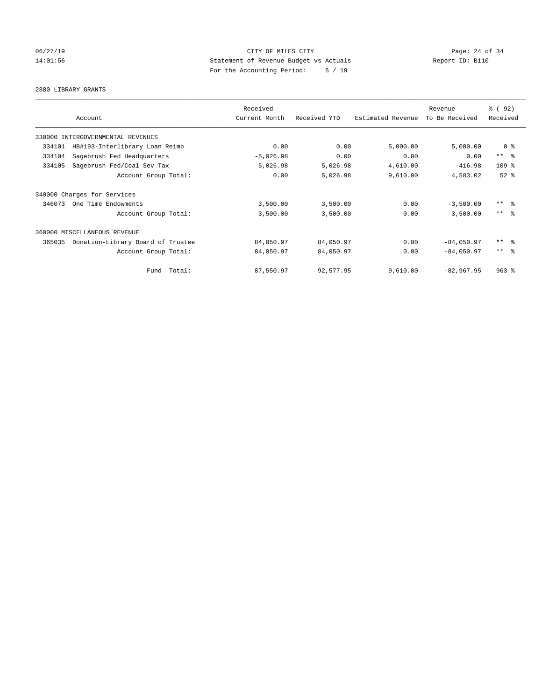## 06/27/19 Page: 24 of 34 14:01:56 Statement of Revenue Budget vs Actuals Report ID: B110 For the Accounting Period: 5 / 19

### 2880 LIBRARY GRANTS

| Account                                     |             | Received<br>Current Month | Received YTD | Estimated Revenue | Revenue<br>To Be Received | 8 (92)<br>Received      |
|---------------------------------------------|-------------|---------------------------|--------------|-------------------|---------------------------|-------------------------|
|                                             |             |                           |              |                   |                           |                         |
| 330000<br>INTERGOVERNMENTAL REVENUES        |             |                           |              |                   |                           |                         |
| HB#193-Interlibrary Loan Reimb<br>334101    |             | 0.00                      | 0.00         | 5,000.00          | 5,000.00                  | 0 <sup>8</sup>          |
| Sagebrush Fed Headquarters<br>334104        |             | $-5,026.98$               | 0.00         | 0.00              | 0.00                      | $***$ $-$               |
| 334105<br>Sagebrush Fed/Coal Sev Tax        |             | 5,026.98                  | 5,026.98     | 4,610.00          | $-416.98$                 | 109 <sub>8</sub>        |
| Account Group Total:                        |             | 0.00                      | 5,026.98     | 9,610.00          | 4,583.02                  | $52$ $%$                |
| 340000 Charges for Services                 |             |                           |              |                   |                           |                         |
| 346073<br>One Time Endowments               |             | 3,500.00                  | 3,500.00     | 0.00              | $-3,500.00$               | $***$ $=$ $\frac{6}{5}$ |
| Account Group Total:                        |             | 3,500.00                  | 3,500.00     | 0.00              | $-3,500.00$               | $***$ $=$ $\frac{6}{5}$ |
| 360000 MISCELLANEOUS REVENUE                |             |                           |              |                   |                           |                         |
| 365035<br>Donation-Library Board of Trustee |             | 84,050.97                 | 84,050.97    | 0.00              | $-84,050.97$              | $***$ $=$ $\frac{6}{5}$ |
| Account Group Total:                        |             | 84,050.97                 | 84,050.97    | 0.00              | $-84,050.97$              | $***$ $\frac{6}{5}$     |
|                                             | Fund Total: | 87,550.97                 | 92,577.95    | 9,610.00          | $-82,967.95$              | $963$ $%$               |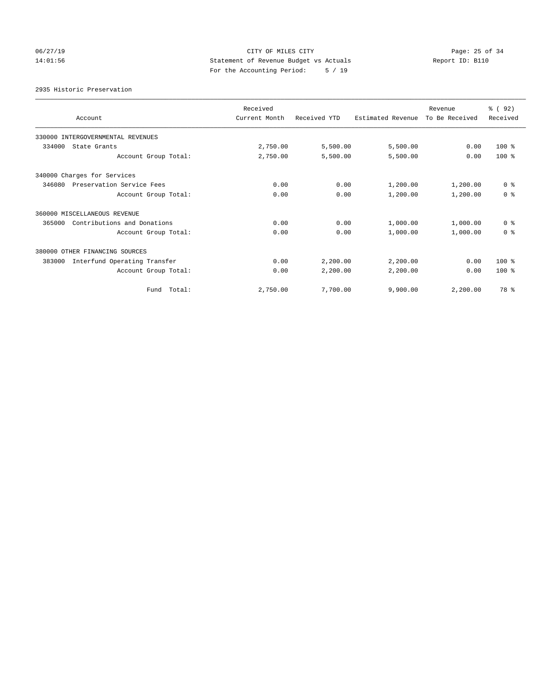# 06/27/19 Page: 25 of 34 14:01:56 Statement of Revenue Budget vs Actuals Report ID: B110 For the Accounting Period: 5 / 19

### 2935 Historic Preservation

| Account                                | Received<br>Current Month | Received YTD | Estimated Revenue | Revenue<br>To Be Received | % (92)<br>Received |
|----------------------------------------|---------------------------|--------------|-------------------|---------------------------|--------------------|
| 330000 INTERGOVERNMENTAL REVENUES      |                           |              |                   |                           |                    |
| 334000<br>State Grants                 | 2,750.00                  | 5,500.00     | 5,500.00          | 0.00                      | $100*$             |
| Account Group Total:                   | 2,750.00                  | 5,500.00     | 5,500.00          | 0.00                      | $100*$             |
| 340000 Charges for Services            |                           |              |                   |                           |                    |
| 346080<br>Preservation Service Fees    | 0.00                      | 0.00         | 1,200.00          | 1,200.00                  | 0 <sup>8</sup>     |
| Account Group Total:                   | 0.00                      | 0.00         | 1,200.00          | 1,200.00                  | 0 <sup>8</sup>     |
| 360000 MISCELLANEOUS REVENUE           |                           |              |                   |                           |                    |
| Contributions and Donations<br>365000  | 0.00                      | 0.00         | 1,000.00          | 1,000.00                  | 0 <sup>8</sup>     |
| Account Group Total:                   | 0.00                      | 0.00         | 1,000.00          | 1,000.00                  | 0 <sup>8</sup>     |
| 380000 OTHER FINANCING SOURCES         |                           |              |                   |                           |                    |
| Interfund Operating Transfer<br>383000 | 0.00                      | 2,200.00     | 2,200.00          | 0.00                      | $100*$             |
| Account Group Total:                   | 0.00                      | 2,200.00     | 2,200.00          | 0.00                      | $100*$             |
| Fund Total:                            | 2,750.00                  | 7,700.00     | 9,900.00          | 2,200.00                  | 78 %               |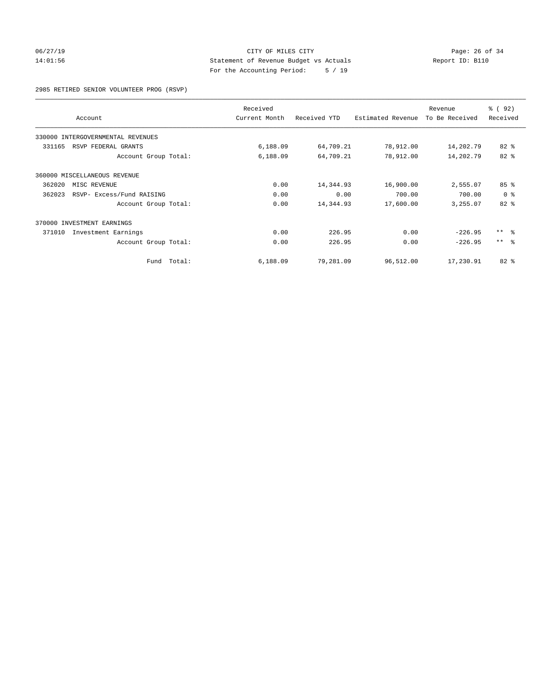## 06/27/19 Page: 26 of 34 14:01:56 Statement of Revenue Budget vs Actuals Report ID: B110 For the Accounting Period: 5 / 19

2985 RETIRED SENIOR VOLUNTEER PROG (RSVP)

|        | Account                           |             | Received<br>Current Month | Received YTD | Estimated Revenue | Revenue<br>To Be Received | 8 (92)<br>Received |
|--------|-----------------------------------|-------------|---------------------------|--------------|-------------------|---------------------------|--------------------|
|        | 330000 INTERGOVERNMENTAL REVENUES |             |                           |              |                   |                           |                    |
| 331165 | RSVP FEDERAL GRANTS               |             | 6,188.09                  | 64,709.21    | 78,912.00         | 14,202.79                 | $82$ $%$           |
|        | Account Group Total:              |             | 6,188.09                  | 64,709.21    | 78,912.00         | 14,202.79                 | 82 %               |
|        | 360000 MISCELLANEOUS REVENUE      |             |                           |              |                   |                           |                    |
| 362020 | MISC REVENUE                      |             | 0.00                      | 14,344.93    | 16,900.00         | 2,555.07                  | 85 <sup>8</sup>    |
| 362023 | RSVP- Excess/Fund RAISING         |             | 0.00                      | 0.00         | 700.00            | 700.00                    | 0 <sup>8</sup>     |
|        | Account Group Total:              |             | 0.00                      | 14,344.93    | 17,600.00         | 3,255.07                  | 82%                |
|        | 370000 INVESTMENT EARNINGS        |             |                           |              |                   |                           |                    |
| 371010 | Investment Earnings               |             | 0.00                      | 226.95       | 0.00              | $-226.95$                 | $***$ $ -$         |
|        | Account Group Total:              |             | 0.00                      | 226.95       | 0.00              | $-226.95$                 | $***$ $ -$         |
|        |                                   | Fund Total: | 6,188.09                  | 79,281.09    | 96,512.00         | 17,230.91                 | 82 %               |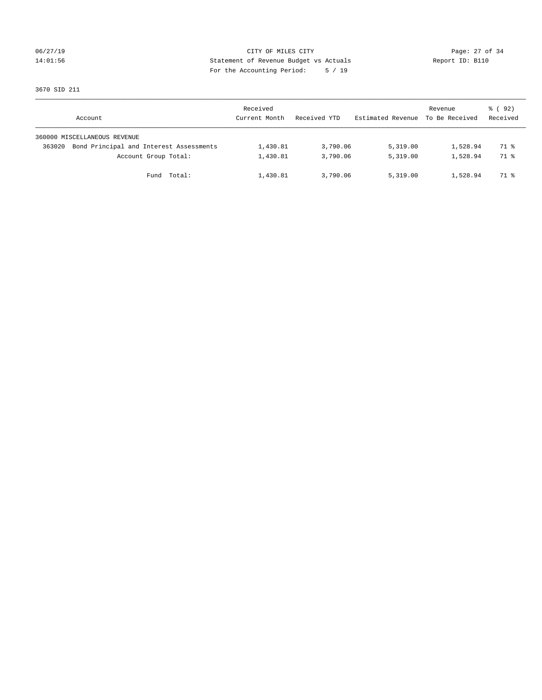## 06/27/19 Page: 27 of 34 14:01:56 Statement of Revenue Budget vs Actuals Report ID: B110 For the Accounting Period: 5 / 19

3670 SID 211

|        | Account                                 | Received<br>Current Month | Received YTD | Estimated Revenue | Revenue<br>To Be Received | 8 (92)<br>Received |
|--------|-----------------------------------------|---------------------------|--------------|-------------------|---------------------------|--------------------|
|        | 360000 MISCELLANEOUS REVENUE            |                           |              |                   |                           |                    |
| 363020 | Bond Principal and Interest Assessments | 1,430.81                  | 3,790.06     | 5,319.00          | 1,528.94                  | 71 %               |
|        | Account Group Total:                    | 1,430.81                  | 3,790.06     | 5,319.00          | 1,528.94                  | 71 %               |
|        | Fund Total:                             | 1,430.81                  | 3,790.06     | 5,319.00          | 1,528.94                  | 71 %               |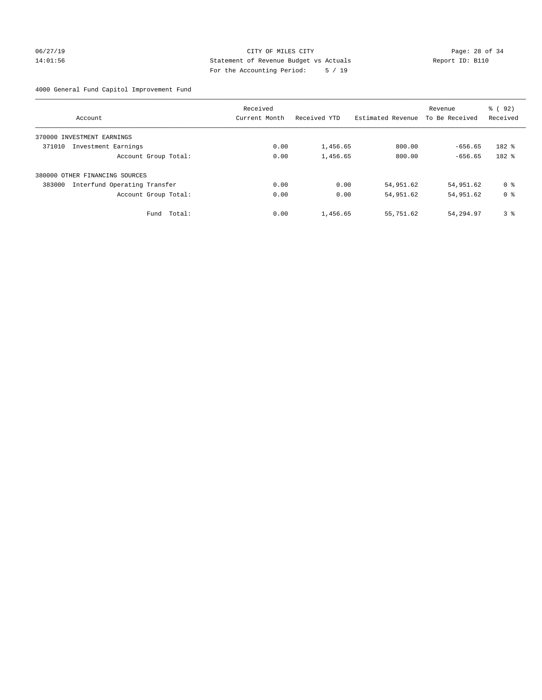## 06/27/19 Page: 28 of 34 14:01:56 Statement of Revenue Budget vs Actuals Report ID: B110 For the Accounting Period: 5 / 19

4000 General Fund Capitol Improvement Fund

|                                        | Received      |              |                   | Revenue        | % (92)         |
|----------------------------------------|---------------|--------------|-------------------|----------------|----------------|
| Account                                | Current Month | Received YTD | Estimated Revenue | To Be Received | Received       |
| INVESTMENT EARNINGS<br>370000          |               |              |                   |                |                |
| 371010<br>Investment Earnings          | 0.00          | 1,456.65     | 800.00            | $-656.65$      | 182 %          |
| Account Group Total:                   | 0.00          | 1,456.65     | 800.00            | $-656.65$      | 182 %          |
| 380000 OTHER FINANCING SOURCES         |               |              |                   |                |                |
| 383000<br>Interfund Operating Transfer | 0.00          | 0.00         | 54,951.62         | 54,951.62      | 0 %            |
| Account Group Total:                   | 0.00          | 0.00         | 54,951.62         | 54,951.62      | 0 <sup>8</sup> |
| Total:<br>Fund                         | 0.00          | 1,456.65     | 55,751.62         | 54,294.97      | 3%             |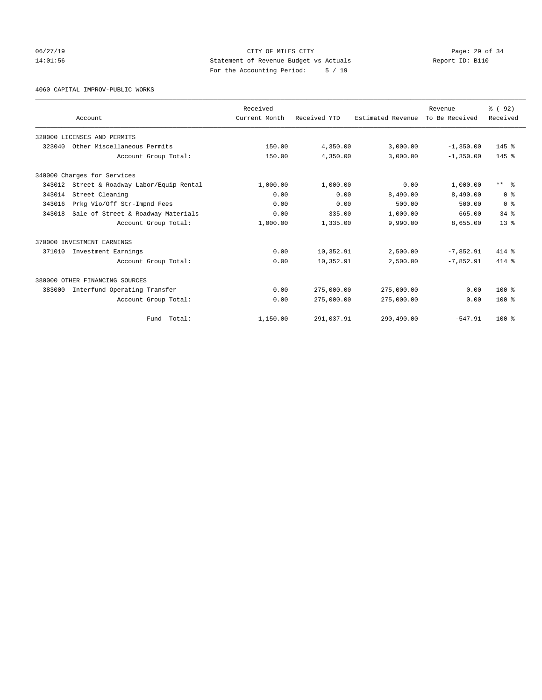## 06/27/19 Page: 29 of 34 14:01:56 Statement of Revenue Budget vs Actuals Report ID: B110 For the Accounting Period: 5 / 19

4060 CAPITAL IMPROV-PUBLIC WORKS

|        |                                     | Received      |              |                   | Revenue        | 8 (92)          |
|--------|-------------------------------------|---------------|--------------|-------------------|----------------|-----------------|
|        | Account                             | Current Month | Received YTD | Estimated Revenue | To Be Received | Received        |
|        | 320000 LICENSES AND PERMITS         |               |              |                   |                |                 |
| 323040 | Other Miscellaneous Permits         | 150.00        | 4,350.00     | 3,000.00          | $-1,350.00$    | 145 %           |
|        | Account Group Total:                | 150.00        | 4,350.00     | 3,000.00          | $-1,350.00$    | $145$ $%$       |
|        | 340000 Charges for Services         |               |              |                   |                |                 |
| 343012 | Street & Roadway Labor/Equip Rental | 1,000.00      | 1,000.00     | 0.00              | $-1,000.00$    | $***$ $\approx$ |
| 343014 | Street Cleaning                     | 0.00          | 0.00         | 8,490.00          | 8,490.00       | 0 <sup>8</sup>  |
| 343016 | Prkg Vio/Off Str-Impnd Fees         | 0.00          | 0.00         | 500.00            | 500.00         | 0 <sup>8</sup>  |
| 343018 | Sale of Street & Roadway Materials  | 0.00          | 335.00       | 1,000.00          | 665.00         | 34.8            |
|        | Account Group Total:                | 1,000.00      | 1,335.00     | 9,990.00          | 8,655.00       | 13 <sup>°</sup> |
|        | 370000 INVESTMENT EARNINGS          |               |              |                   |                |                 |
| 371010 | Investment Earnings                 | 0.00          | 10,352.91    | 2,500.00          | $-7,852.91$    | 414 %           |
|        | Account Group Total:                | 0.00          | 10,352.91    | 2,500.00          | $-7,852.91$    | $414*$          |
|        | 380000 OTHER FINANCING SOURCES      |               |              |                   |                |                 |
| 383000 | Interfund Operating Transfer        | 0.00          | 275,000.00   | 275,000.00        | 0.00           | $100*$          |
|        | Account Group Total:                | 0.00          | 275,000.00   | 275,000.00        | 0.00           | $100*$          |
|        | Fund Total:                         | 1,150.00      | 291,037.91   | 290,490.00        | $-547.91$      | $100*$          |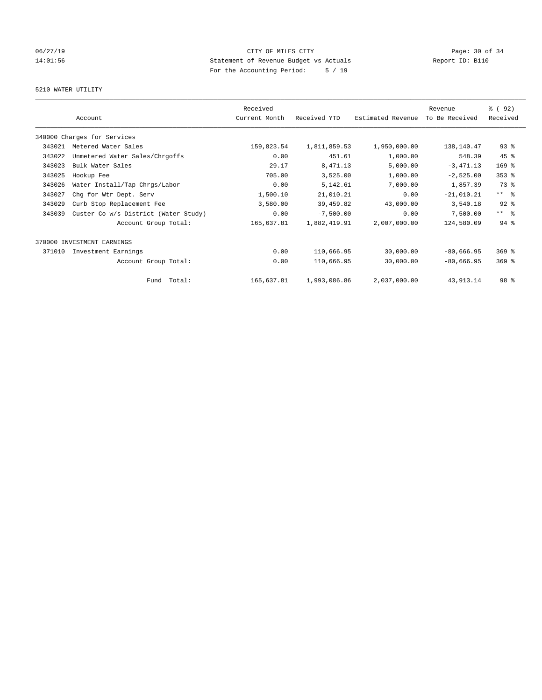# 06/27/19 Page: 30 of 34 14:01:56 Statement of Revenue Budget vs Actuals Report ID: B110 For the Accounting Period: 5 / 19

## 5210 WATER UTILITY

|        | Account                              | Received<br>Current Month | Received YTD | Estimated Revenue | Revenue<br>To Be Received | % (92)<br>Received  |
|--------|--------------------------------------|---------------------------|--------------|-------------------|---------------------------|---------------------|
|        | 340000 Charges for Services          |                           |              |                   |                           |                     |
| 343021 | Metered Water Sales                  | 159,823.54                | 1,811,859.53 | 1,950,000.00      | 138,140.47                | $93$ $%$            |
| 343022 | Unmetered Water Sales/Chrgoffs       | 0.00                      | 451.61       | 1,000.00          | 548.39                    | 45 %                |
| 343023 | Bulk Water Sales                     | 29.17                     | 8,471.13     | 5,000.00          | $-3,471.13$               | 169 %               |
| 343025 | Hookup Fee                           | 705.00                    | 3,525.00     | 1,000.00          | $-2,525.00$               | $353$ $%$           |
| 343026 | Water Install/Tap Chrgs/Labor        | 0.00                      | 5,142.61     | 7,000.00          | 1,857.39                  | 73 %                |
| 343027 | Chg for Wtr Dept. Serv               | 1,500.10                  | 21,010.21    | 0.00              | $-21,010.21$              | $***$ $\frac{6}{5}$ |
| 343029 | Curb Stop Replacement Fee            | 3,580.00                  | 39,459.82    | 43,000.00         | 3,540.18                  | $92$ $%$            |
| 343039 | Custer Co w/s District (Water Study) | 0.00                      | $-7,500.00$  | 0.00              | 7,500.00                  | $***$ $\frac{6}{5}$ |
|        | Account Group Total:                 | 165,637.81                | 1,882,419.91 | 2,007,000.00      | 124,580.09                | $94$ $%$            |
|        | 370000 INVESTMENT EARNINGS           |                           |              |                   |                           |                     |
| 371010 | Investment Earnings                  | 0.00                      | 110,666.95   | 30,000.00         | $-80,666.95$              | $369$ $%$           |
|        | Account Group Total:                 | 0.00                      | 110,666.95   | 30,000.00         | $-80,666.95$              | $369$ $%$           |
|        | Fund Total:                          | 165,637.81                | 1,993,086.86 | 2,037,000.00      | 43, 913. 14               | 98 <sup>8</sup>     |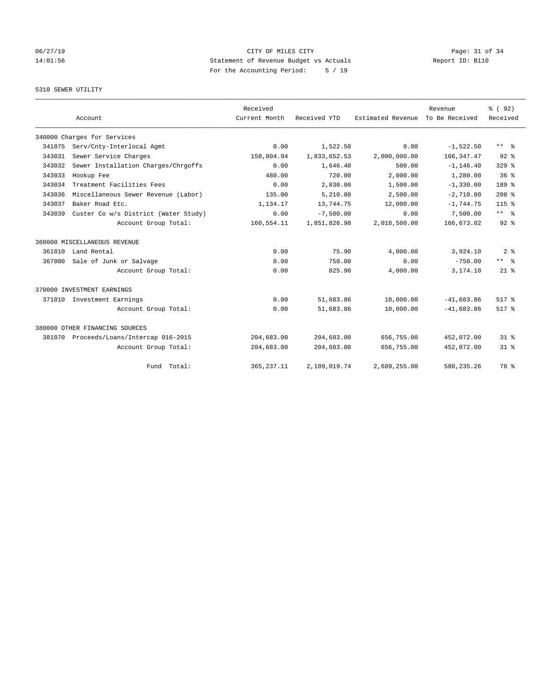# 06/27/19 Page: 31 of 34 14:01:56 Statement of Revenue Budget vs Actuals Report ID: B110 For the Accounting Period: 5 / 19

## 5310 SEWER UTILITY

|        | Account                              | Received<br>Current Month | Received YTD | Estimated Revenue | Revenue<br>To Be Received | % (92)<br>Received |
|--------|--------------------------------------|---------------------------|--------------|-------------------|---------------------------|--------------------|
|        | 340000 Charges for Services          |                           |              |                   |                           |                    |
| 341075 | Serv/Cnty-Interlocal Agmt            | 0.00                      | 1,522.50     | 0.00              | $-1,522.50$               | ** %               |
| 343031 | Sewer Service Charges                | 158,804.94                | 1,833,652.53 | 2,000,000.00      | 166, 347.47               | $92$ $%$           |
| 343032 | Sewer Installation Charges/Chrgoffs  | 0.00                      | 1,646.40     | 500.00            | $-1, 146.40$              | $329$ $%$          |
| 343033 | Hookup Fee                           | 480.00                    | 720.00       | 2,000.00          | 1,280.00                  | 36 <sup>8</sup>    |
| 343034 | Treatment Facilities Fees            | 0.00                      | 2,830.00     | 1,500.00          | $-1,330.00$               | 189 %              |
| 343036 | Miscellaneous Sewer Revenue (Labor)  | 135.00                    | 5,210.80     | 2,500.00          | $-2,710.80$               | $208*$             |
| 343037 | Baker Road Etc.                      | 1,134.17                  | 13,744.75    | 12,000.00         | $-1,744.75$               | $115*$             |
| 343039 | Custer Co w/s District (Water Study) | 0.00                      | $-7,500.00$  | 0.00              | 7,500.00                  | $***$ $ -$         |
|        | Account Group Total:                 | 160,554.11                | 1,851,826.98 | 2,018,500.00      | 166,673.02                | $92$ $%$           |
|        | 360000 MISCELLANEOUS REVENUE         |                           |              |                   |                           |                    |
| 361010 | Land Rental                          | 0.00                      | 75.90        | 4,000.00          | 3,924.10                  | 2 <sup>8</sup>     |
| 367000 | Sale of Junk or Salvage              | 0.00                      | 750.00       | 0.00              | $-750.00$                 | $***$ $%$          |
|        | Account Group Total:                 | 0.00                      | 825.90       | 4,000.00          | 3,174.10                  | $21$ $%$           |
|        | 370000 INVESTMENT EARNINGS           |                           |              |                   |                           |                    |
| 371010 | Investment Earnings                  | 0.00                      | 51,683.86    | 10,000.00         | $-41,683.86$              | 517.8              |
|        | Account Group Total:                 | 0.00                      | 51,683.86    | 10,000.00         | $-41,683,86$              | 517.8              |
|        | 380000 OTHER FINANCING SOURCES       |                           |              |                   |                           |                    |
| 381070 | Proceeds/Loans/Intercap 016-2015     | 204,683.00                | 204,683.00   | 656,755.00        | 452,072.00                | 31.8               |
|        | Account Group Total:                 | 204,683.00                | 204,683.00   | 656,755.00        | 452,072.00                | $31*$              |
|        | Fund Total:                          | 365, 237.11               | 2,109,019.74 | 2,689,255.00      | 580, 235.26               | 78 %               |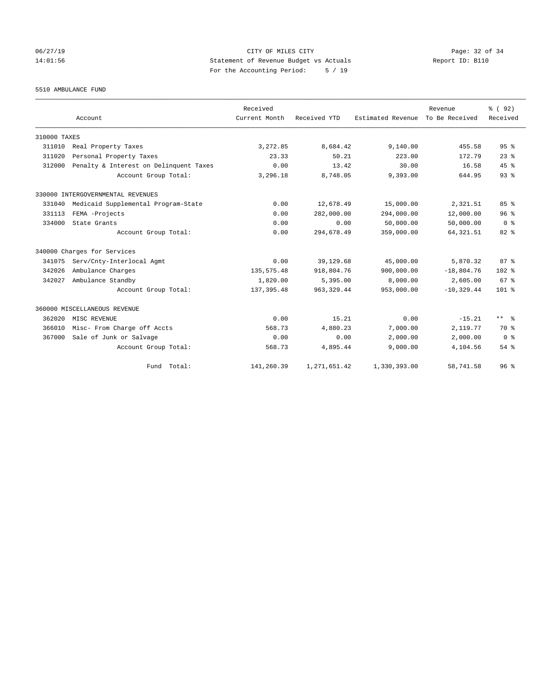## 06/27/19 Page: 32 of 34 14:01:56 Statement of Revenue Budget vs Actuals Report ID: B110 For the Accounting Period: 5 / 19

5510 AMBULANCE FUND

|              | Account                                | Received<br>Current Month | Received YTD   | Estimated Revenue | Revenue<br>To Be Received | % (92)<br>Received      |
|--------------|----------------------------------------|---------------------------|----------------|-------------------|---------------------------|-------------------------|
| 310000 TAXES |                                        |                           |                |                   |                           |                         |
| 311010       | Real Property Taxes                    | 3,272.85                  | 8,684.42       | 9,140.00          | 455.58                    | 95%                     |
| 311020       | Personal Property Taxes                | 23.33                     | 50.21          | 223.00            | 172.79                    | 23 <sup>8</sup>         |
| 312000       | Penalty & Interest on Delinquent Taxes | 0.00                      | 13.42          | 30.00             | 16.58                     | 45%                     |
|              | Account Group Total:                   | 3,296.18                  | 8,748.05       | 9,393.00          | 644.95                    | 93%                     |
|              | 330000 INTERGOVERNMENTAL REVENUES      |                           |                |                   |                           |                         |
| 331040       | Medicaid Supplemental Program-State    | 0.00                      | 12,678.49      | 15,000.00         | 2,321.51                  | 85%                     |
| 331113       | FEMA -Projects                         | 0.00                      | 282,000.00     | 294,000.00        | 12,000.00                 | 96 <sup>8</sup>         |
| 334000       | State Grants                           | 0.00                      | 0.00           | 50,000.00         | 50,000.00                 | 0 <sup>8</sup>          |
|              | Account Group Total:                   | 0.00                      | 294,678.49     | 359,000.00        | 64, 321.51                | $82*$                   |
|              | 340000 Charges for Services            |                           |                |                   |                           |                         |
| 341075       | Serv/Cnty-Interlocal Agmt              | 0.00                      | 39,129.68      | 45,000.00         | 5,870.32                  | 87 <sup>8</sup>         |
| 342026       | Ambulance Charges                      | 135, 575.48               | 918,804.76     | 900,000.00        | $-18,804.76$              | 102 %                   |
| 342027       | Ambulance Standby                      | 1,820.00                  | 5,395.00       | 8,000.00          | 2,605.00                  | 67 <sup>8</sup>         |
|              | Account Group Total:                   | 137, 395.48               | 963, 329.44    | 953,000.00        | $-10, 329.44$             | $101$ %                 |
|              | 360000 MISCELLANEOUS REVENUE           |                           |                |                   |                           |                         |
| 362020       | MISC REVENUE                           | 0.00                      | 15.21          | 0.00              | $-15.21$                  | $***$ $=$ $\frac{6}{5}$ |
| 366010       | Misc- From Charge off Accts            | 568.73                    | 4,880.23       | 7,000.00          | 2,119.77                  | 70 %                    |
| 367000       | Sale of Junk or Salvage                | 0.00                      | 0.00           | 2,000.00          | 2,000.00                  | 0 <sup>8</sup>          |
|              | Account Group Total:                   | 568.73                    | 4,895.44       | 9,000.00          | 4,104.56                  | $54$ $%$                |
|              | Fund Total:                            | 141,260.39                | 1, 271, 651.42 | 1,330,393.00      | 58,741.58                 | 96 <sup>8</sup>         |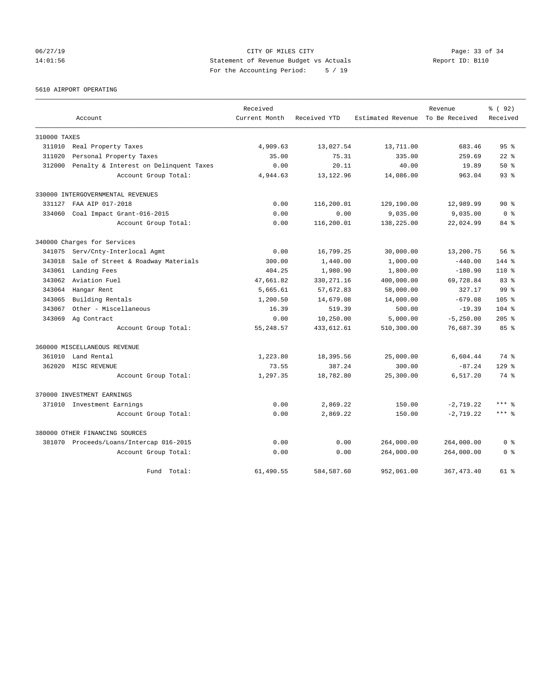## 06/27/19 Page: 33 of 34 14:01:56 Statement of Revenue Budget vs Actuals Report ID: B110 For the Accounting Period: 5 / 19

5610 AIRPORT OPERATING

|              |                                         | Received      |              |                                  | Revenue      | % (92)           |
|--------------|-----------------------------------------|---------------|--------------|----------------------------------|--------------|------------------|
|              | Account                                 | Current Month | Received YTD | Estimated Revenue To Be Received |              | Received         |
| 310000 TAXES |                                         |               |              |                                  |              |                  |
| 311010       | Real Property Taxes                     | 4,909.63      | 13,027.54    | 13,711.00                        | 683.46       | 95 <sup>°</sup>  |
| 311020       | Personal Property Taxes                 | 35.00         | 75.31        | 335.00                           | 259.69       | $22$ $%$         |
| 312000       | Penalty & Interest on Delinquent Taxes  | 0.00          | 20.11        | 40.00                            | 19.89        | $50*$            |
|              | Account Group Total:                    | 4,944.63      | 13, 122.96   | 14,086.00                        | 963.04       | 93%              |
|              | 330000 INTERGOVERNMENTAL REVENUES       |               |              |                                  |              |                  |
| 331127       | FAA AIP 017-2018                        | 0.00          | 116,200.01   | 129,190.00                       | 12,989.99    | $90*$            |
| 334060       | Coal Impact Grant-016-2015              | 0.00          | 0.00         | 9,035.00                         | 9,035.00     | 0 <sup>8</sup>   |
|              | Account Group Total:                    | 0.00          | 116,200.01   | 138,225.00                       | 22,024.99    | 84 %             |
|              | 340000 Charges for Services             |               |              |                                  |              |                  |
| 341075       | Serv/Cnty-Interlocal Agmt               | 0.00          | 16,799.25    | 30,000.00                        | 13,200.75    | 56%              |
| 343018       | Sale of Street & Roadway Materials      | 300.00        | 1,440.00     | 1,000.00                         | $-440.00$    | $144$ %          |
| 343061       | Landing Fees                            | 404.25        | 1,980.90     | 1,800.00                         | $-180.90$    | $110*$           |
| 343062       | Aviation Fuel                           | 47,661.82     | 330, 271.16  | 400,000.00                       | 69,728.84    | $83 *$           |
| 343064       | Hangar Rent                             | 5,665.61      | 57,672.83    | 58,000.00                        | 327.17       | 99 <sup>8</sup>  |
| 343065       | Building Rentals                        | 1,200.50      | 14,679.08    | 14,000.00                        | $-679.08$    | 105 <sub>8</sub> |
| 343067       | Other - Miscellaneous                   | 16.39         | 519.39       | 500.00                           | $-19.39$     | $104$ %          |
| 343069       | Ag Contract                             | 0.00          | 10,250.00    | 5,000.00                         | $-5, 250.00$ | $205$ $%$        |
|              | Account Group Total:                    | 55, 248.57    | 433,612.61   | 510,300.00                       | 76,687.39    | 85%              |
|              | 360000 MISCELLANEOUS REVENUE            |               |              |                                  |              |                  |
| 361010       | Land Rental                             | 1,223.80      | 18,395.56    | 25,000.00                        | 6,604.44     | 74 %             |
| 362020       | MISC REVENUE                            | 73.55         | 387.24       | 300.00                           | $-87.24$     | $129$ $%$        |
|              | Account Group Total:                    | 1,297.35      | 18,782.80    | 25,300.00                        | 6,517.20     | 74 %             |
|              | 370000 INVESTMENT EARNINGS              |               |              |                                  |              |                  |
|              | 371010 Investment Earnings              | 0.00          | 2,869.22     | 150.00                           | $-2,719.22$  | $***$ %          |
|              | Account Group Total:                    | 0.00          | 2,869.22     | 150.00                           | $-2, 719.22$ | $***$ $%$        |
|              | 380000 OTHER FINANCING SOURCES          |               |              |                                  |              |                  |
|              | 381070 Proceeds/Loans/Intercap 016-2015 | 0.00          | 0.00         | 264,000.00                       | 264,000.00   | 0 <sup>8</sup>   |
|              | Account Group Total:                    | 0.00          | 0.00         | 264,000.00                       | 264,000.00   | 0 <sup>8</sup>   |
|              | Fund Total:                             | 61,490.55     | 584, 587.60  | 952,061.00                       | 367, 473.40  | 61 %             |